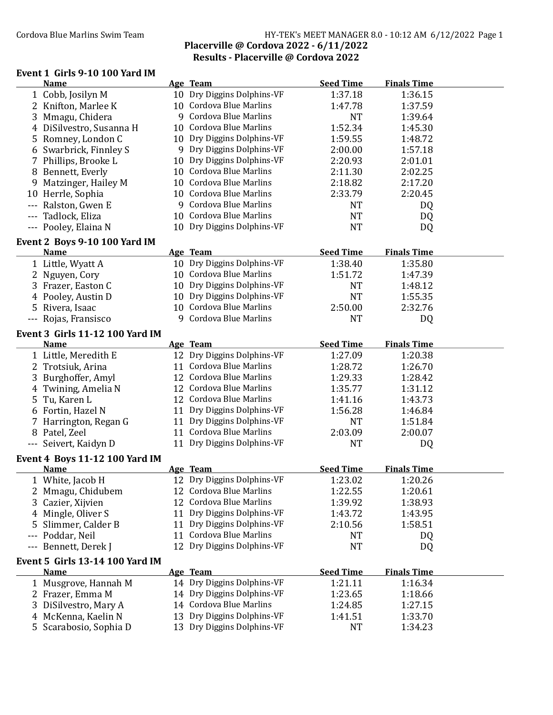### Cordova Blue Marlins Swim Team **HY-TEK's MEET MANAGER 8.0 - 10:12 AM 6/12/2022** Page 1 Placerville @ Cordova 2022 - 6/11/2022 Results - Placerville @ Cordova 2022

### Event 1 Girls 9-10 100 Yard IM

| <b>Name</b>                                          | Age Team                   | <b>Seed Time</b> | <b>Finals Time</b> |  |
|------------------------------------------------------|----------------------------|------------------|--------------------|--|
| 1 Cobb, Josilyn M                                    | 10 Dry Diggins Dolphins-VF | 1:37.18          | 1:36.15            |  |
| 2 Knifton, Marlee K                                  | 10 Cordova Blue Marlins    | 1:47.78          | 1:37.59            |  |
| 3 Mmagu, Chidera                                     | 9 Cordova Blue Marlins     | <b>NT</b>        | 1:39.64            |  |
| 4 DiSilvestro, Susanna H                             | 10 Cordova Blue Marlins    | 1:52.34          | 1:45.30            |  |
| 5 Romney, London C                                   | 10 Dry Diggins Dolphins-VF | 1:59.55          | 1:48.72            |  |
| 6 Swarbrick, Finnley S                               | 9 Dry Diggins Dolphins-VF  | 2:00.00          | 1:57.18            |  |
| 7 Phillips, Brooke L                                 | 10 Dry Diggins Dolphins-VF | 2:20.93          | 2:01.01            |  |
| 8 Bennett, Everly                                    | 10 Cordova Blue Marlins    | 2:11.30          | 2:02.25            |  |
| 9 Matzinger, Hailey M                                | 10 Cordova Blue Marlins    | 2:18.82          | 2:17.20            |  |
| 10 Herrle, Sophia                                    | 10 Cordova Blue Marlins    | 2:33.79          | 2:20.45            |  |
| --- Ralston, Gwen E                                  | 9 Cordova Blue Marlins     | <b>NT</b>        | DQ                 |  |
| --- Tadlock, Eliza                                   | 10 Cordova Blue Marlins    | <b>NT</b>        | DQ                 |  |
| --- Pooley, Elaina N                                 | 10 Dry Diggins Dolphins-VF | <b>NT</b>        | DQ                 |  |
| Event 2 Boys 9-10 100 Yard IM                        |                            |                  |                    |  |
| <b>Name</b>                                          | Age Team                   | <b>Seed Time</b> | <b>Finals Time</b> |  |
| 1 Little, Wyatt A                                    | 10 Dry Diggins Dolphins-VF | 1:38.40          | 1:35.80            |  |
| 2 Nguyen, Cory                                       | 10 Cordova Blue Marlins    | 1:51.72          | 1:47.39            |  |
| 3 Frazer, Easton C                                   | 10 Dry Diggins Dolphins-VF | <b>NT</b>        | 1:48.12            |  |
| 4 Pooley, Austin D                                   | 10 Dry Diggins Dolphins-VF | <b>NT</b>        | 1:55.35            |  |
| 5 Rivera, Isaac                                      | 10 Cordova Blue Marlins    | 2:50.00          | 2:32.76            |  |
| --- Rojas, Fransisco                                 | 9 Cordova Blue Marlins     | <b>NT</b>        | DQ                 |  |
| <b>Event 3 Girls 11-12 100 Yard IM</b>               |                            |                  |                    |  |
| <b>Name</b>                                          | Age Team                   | <b>Seed Time</b> | <b>Finals Time</b> |  |
| 1 Little, Meredith E                                 | 12 Dry Diggins Dolphins-VF | 1:27.09          | 1:20.38            |  |
| 2 Trotsiuk, Arina                                    | 11 Cordova Blue Marlins    | 1:28.72          | 1:26.70            |  |
| 3 Burghoffer, Amyl                                   | 12 Cordova Blue Marlins    | 1:29.33          | 1:28.42            |  |
| 4 Twining, Amelia N                                  | 12 Cordova Blue Marlins    | 1:35.77          | 1:31.12            |  |
| 5 Tu, Karen L                                        | 12 Cordova Blue Marlins    | 1:41.16          | 1:43.73            |  |
| 6 Fortin, Hazel N                                    | 11 Dry Diggins Dolphins-VF | 1:56.28          | 1:46.84            |  |
| 7 Harrington, Regan G                                | 11 Dry Diggins Dolphins-VF | <b>NT</b>        | 1:51.84            |  |
| 8 Patel, Zeel                                        | 11 Cordova Blue Marlins    | 2:03.09          | 2:00.07            |  |
| --- Seivert, Kaidyn D                                | 11 Dry Diggins Dolphins-VF | <b>NT</b>        | DQ                 |  |
|                                                      |                            |                  |                    |  |
| <b>Event 4 Boys 11-12 100 Yard IM</b><br><b>Name</b> | Age Team                   | <b>Seed Time</b> | <b>Finals Time</b> |  |
|                                                      | 12 Dry Diggins Dolphins-VF | 1:23.02          | 1:20.26            |  |
| 1 White, Jacob H<br>2 Mmagu, Chidubem                | 12 Cordova Blue Marlins    | 1:22.55          | 1:20.61            |  |
| 3 Cazier, Xijvien                                    | 12 Cordova Blue Marlins    | 1:39.92          | 1:38.93            |  |
| 4 Mingle, Oliver S                                   | 11 Dry Diggins Dolphins-VF | 1:43.72          | 1:43.95            |  |
| Slimmer, Calder B<br>5.                              | 11 Dry Diggins Dolphins-VF | 2:10.56          | 1:58.51            |  |
| --- Poddar, Neil                                     | 11 Cordova Blue Marlins    | <b>NT</b>        | DQ                 |  |
| --- Bennett, Derek J                                 | 12 Dry Diggins Dolphins-VF | <b>NT</b>        | DQ                 |  |
|                                                      |                            |                  |                    |  |
| <b>Event 5 Girls 13-14 100 Yard IM</b>               |                            |                  |                    |  |
| <b>Name</b>                                          | Age Team                   | <b>Seed Time</b> | <b>Finals Time</b> |  |
| 1 Musgrove, Hannah M                                 | 14 Dry Diggins Dolphins-VF | 1:21.11          | 1:16.34            |  |
| 2 Frazer, Emma M                                     | 14 Dry Diggins Dolphins-VF | 1:23.65          | 1:18.66            |  |
| 3 DiSilvestro, Mary A                                | 14 Cordova Blue Marlins    | 1:24.85          | 1:27.15            |  |
| 4 McKenna, Kaelin N                                  | 13 Dry Diggins Dolphins-VF | 1:41.51          | 1:33.70            |  |
| 5 Scarabosio, Sophia D                               | 13 Dry Diggins Dolphins-VF | <b>NT</b>        | 1:34.23            |  |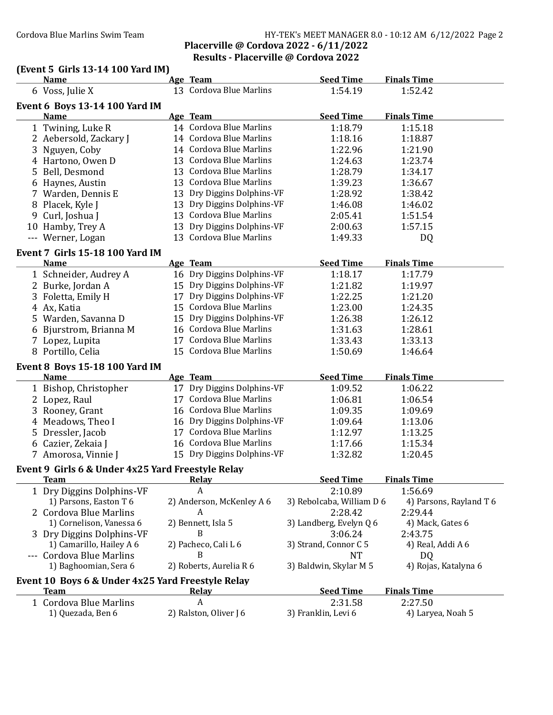### Cordova Blue Marlins Swim Team **HY-TEK's MEET MANAGER 8.0 - 10:12 AM 6/12/2022** Page 2 Placerville @ Cordova 2022 - 6/11/2022 Results - Placerville @ Cordova 2022

# (Event 5 Girls 13-14 100 Yard IM)

| <b>Name</b>                                       | Age Team                   | <b>Seed Time</b>          | <b>Finals Time</b>      |
|---------------------------------------------------|----------------------------|---------------------------|-------------------------|
| 6 Voss, Julie X                                   | 13 Cordova Blue Marlins    | 1:54.19                   | 1:52.42                 |
| <b>Event 6 Boys 13-14 100 Yard IM</b>             |                            |                           |                         |
| <b>Name</b>                                       | Age Team                   | <b>Seed Time</b>          | <b>Finals Time</b>      |
| 1 Twining, Luke R                                 | 14 Cordova Blue Marlins    | 1:18.79                   | 1:15.18                 |
| 2 Aebersold, Zackary J                            | 14 Cordova Blue Marlins    | 1:18.16                   | 1:18.87                 |
| 3 Nguyen, Coby                                    | 14 Cordova Blue Marlins    | 1:22.96                   | 1:21.90                 |
| 4 Hartono, Owen D                                 | 13 Cordova Blue Marlins    | 1:24.63                   | 1:23.74                 |
| 5 Bell, Desmond                                   | 13 Cordova Blue Marlins    | 1:28.79                   | 1:34.17                 |
| 6 Haynes, Austin                                  | 13 Cordova Blue Marlins    | 1:39.23                   | 1:36.67                 |
| 7 Warden, Dennis E                                | 13 Dry Diggins Dolphins-VF | 1:28.92                   | 1:38.42                 |
| 8 Placek, Kyle J                                  | 13 Dry Diggins Dolphins-VF | 1:46.08                   | 1:46.02                 |
| 9 Curl, Joshua J                                  | 13 Cordova Blue Marlins    | 2:05.41                   | 1:51.54                 |
| 10 Hamby, Trey A                                  | 13 Dry Diggins Dolphins-VF | 2:00.63                   | 1:57.15                 |
| --- Werner, Logan                                 | 13 Cordova Blue Marlins    | 1:49.33                   | DQ                      |
| <b>Event 7 Girls 15-18 100 Yard IM</b>            |                            |                           |                         |
| <b>Name</b>                                       | Age Team                   | <b>Seed Time</b>          | <b>Finals Time</b>      |
| 1 Schneider, Audrey A                             | 16 Dry Diggins Dolphins-VF | 1:18.17                   | 1:17.79                 |
| 2 Burke, Jordan A                                 | 15 Dry Diggins Dolphins-VF | 1:21.82                   | 1:19.97                 |
| 3 Foletta, Emily H                                | 17 Dry Diggins Dolphins-VF | 1:22.25                   | 1:21.20                 |
| 4 Ax, Katia                                       | 15 Cordova Blue Marlins    | 1:23.00                   | 1:24.35                 |
| 5 Warden, Savanna D                               | 15 Dry Diggins Dolphins-VF | 1:26.38                   | 1:26.12                 |
| 6 Bjurstrom, Brianna M                            | 16 Cordova Blue Marlins    | 1:31.63                   | 1:28.61                 |
| 7 Lopez, Lupita                                   | 17 Cordova Blue Marlins    | 1:33.43                   | 1:33.13                 |
| 8 Portillo, Celia                                 | 15 Cordova Blue Marlins    | 1:50.69                   | 1:46.64                 |
| <b>Event 8 Boys 15-18 100 Yard IM</b>             |                            |                           |                         |
| <b>Name</b>                                       | Age Team                   | <b>Seed Time</b>          | <b>Finals Time</b>      |
| 1 Bishop, Christopher                             | 17 Dry Diggins Dolphins-VF | 1:09.52                   | 1:06.22                 |
| 2 Lopez, Raul                                     | 17 Cordova Blue Marlins    | 1:06.81                   | 1:06.54                 |
| 3 Rooney, Grant                                   | 16 Cordova Blue Marlins    | 1:09.35                   | 1:09.69                 |
| 4 Meadows, Theo I                                 | 16 Dry Diggins Dolphins-VF | 1:09.64                   | 1:13.06                 |
| 5 Dressler, Jacob                                 | 17 Cordova Blue Marlins    | 1:12.97                   | 1:13.25                 |
| 6 Cazier, Zekaia J                                | 16 Cordova Blue Marlins    | 1:17.66                   | 1:15.34                 |
| 7 Amorosa, Vinnie J                               | 15 Dry Diggins Dolphins-VF | 1:32.82                   | 1:20.45                 |
| Event 9 Girls 6 & Under 4x25 Yard Freestyle Relay |                            |                           |                         |
| <b>Team</b>                                       | <b>Relay</b>               | <b>Seed Time</b>          | <b>Finals Time</b>      |
| 1 Dry Diggins Dolphins-VF                         | A                          | 2:10.89                   | 1:56.69                 |
| 1) Parsons, Easton T 6                            | 2) Anderson, McKenley A 6  | 3) Rebolcaba, William D 6 | 4) Parsons, Rayland T 6 |
| 2 Cordova Blue Marlins                            | A                          | 2:28.42                   | 2:29.44                 |
| 1) Cornelison, Vanessa 6                          | 2) Bennett, Isla 5         | 3) Landberg, Evelyn Q 6   | 4) Mack, Gates 6        |
| 3 Dry Diggins Dolphins-VF                         | B                          | 3:06.24                   | 2:43.75                 |
| 1) Camarillo, Hailey A 6                          | 2) Pacheco, Cali L 6       | 3) Strand, Connor C 5     | 4) Real, Addi A 6       |
| --- Cordova Blue Marlins                          | B                          | <b>NT</b>                 | DQ                      |
| 1) Baghoomian, Sera 6                             | 2) Roberts, Aurelia R 6    | 3) Baldwin, Skylar M 5    | 4) Rojas, Katalyna 6    |
| Event 10 Boys 6 & Under 4x25 Yard Freestyle Relay |                            |                           |                         |
| <b>Team</b>                                       | <b>Relay</b>               | <b>Seed Time</b>          | <b>Finals Time</b>      |
| 1 Cordova Blue Marlins                            | A                          | 2:31.58                   | 2:27.50                 |
| 1) Quezada, Ben 6                                 | 2) Ralston, Oliver J 6     | 3) Franklin, Levi 6       | 4) Laryea, Noah 5       |
|                                                   |                            |                           |                         |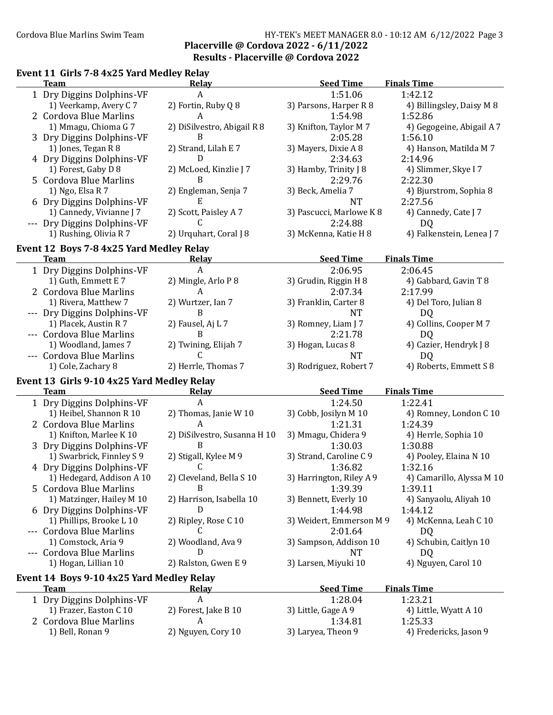### Cordova Blue Marlins Swim Team HY-TEK's MEET MANAGER 8.0 - 10:12 AM 6/12/2022 Page 3 Placerville @ Cordova 2022 - 6/11/2022 Results - Placerville @ Cordova 2022

### Event 11 Girls 7-8 4x25 Yard Medley Relay **Team** Relay Relay Seed Time Finals Time 1 Dry Diggins Dolphins-VF A 1:51.06 1:42.12 1) Veerkamp, Avery C 7 2) Fortin, Ruby Q 8 3) Parsons, Harper R 8 4) Billingsley, Daisy M 8 2 Cordova Blue Marlins  $A$  A 1:54.98 1:52.86 1) Mmagu, Chioma G 7 2) DiSilvestro, Abigail R 8 3) Knifton, Taylor M 7 4) Gegogeine, Abigail A 7 3 Dry Diggins Dolphins-VF B 2:05.28 1:56.10 1) Jones, Tegan R 8 2) Strand, Lilah E 7 3) Mayers, Dixie A 8 4) Hanson, Matilda M 7 4 Dry Diggins Dolphins-VF D 2:34.63 2:14.96 1) Forest, Gaby D 8 2) McLoed, Kinzlie J 7 3) Hamby, Trinity J 8 4) Slimmer, Skye J 7 5 Cordova Blue Marlins B 2:29.76 2:22.30 1) Ngo, Elsa R 7 2) Engleman, Senja 7 3) Beck, Amelia 7 4) Bjurstrom, Sophia 8 6 Dry Diggins Dolphins-VF E NT 2:27.56 1) Cannedy, Vivianne J 7 2) Scott, Paisley A 7 3) Pascucci, Marlowe K 8 4) Cannedy, Cate J 7 --- Dry Diggins Dolphins-VF C 2:24.88 DQ 1) Rushing, Olivia R 7 2) Urquhart, Coral J 8 3) McKenna, Katie H 8 4) Falkenstein, Lenea J 7 Event 12 Boys 7-8 4x25 Yard Medley Relay Team Relay Relay Seed Time Finals Time 1 Dry Diggins Dolphins-VF A 2:06.95 2:06.45 1) Guth, Emmett E 7 2) Mingle, Arlo P 8 3) Grudin, Riggin H 8 4) Gabbard, Gavin T 8 2 Cordova Blue Marlins A 2:07.34 2:17.99 1) Rivera, Matthew 7 2) Wurtzer, Ian 7 3) Franklin, Carter 8 4) Del Toro, Julian 8 --- Dry Diggins Dolphins-VF B<br>1) Placek, Austin R 7 2) Fausel, Aj L 7 3) Romney, Liam J 7 4) Colli 2) Fausel, Aj L 7 3) Romney, Liam J 7 4) Collins, Cooper M 7 --- Cordova Blue Marlins B 2:21.78 DQ 1) Woodland, James 7 2) Twining, Elijah 7 3) Hogan, Lucas 8 4) Cazier, Hendryk J 8 --- Cordova Blue Marlins C NT DQ 1) Cole, Zachary 8 2) Herrle, Thomas 7 3) Rodriguez, Robert 7 4) Roberts, Emmett S 8 Event 13 Girls 9-10 4x25 Yard Medley Relay **Team** Relay Relay Seed Time Finals Time 1 Dry Diggins Dolphins-VF A 1:24.50 1:22.41 1) Heibel, Shannon R 10 2) Thomas, Janie W 10 3) Cobb, Josilyn M 10 4) Romney, London C 10 2 Cordova Blue Marlins A 1:21.31 1:24.39 1) Knifton, Marlee K 10 2) DiSilvestro, Susanna H 10 3) Mmagu, Chidera 9 4) Herrle, Sophia 10 3 Dry Diggins Dolphins-VF B<br>1) Swarbrick, Finnley S 9 2) Stigall, Kylee M 9 3) Strand, Caroline C 9 4) Pooley, Elaina N 10 1) Swarbrick, Finnley S 9 4 Dry Diggins Dolphins-VF C 1:36.82 1:32.16<br>1) Hedegard, Addison A 10 2) Cleveland, Bella S 10 3) Harrington, Riley A 9 4) Cama 1) Hedegard, Addison A 10 2) Cleveland, Bella S 10 3) Harrington, Riley A 9 4) Camarillo, Alyssa M 10 5 Cordova Blue Marlins **B** 1:39.39 1:39.11 1) Matzinger, Hailey M 10 2) Harrison, Isabella 10 3) Bennett, Everly 10 4) Sanyaolu, Aliyah 10 6 Dry Diggins Dolphins-VF D<br>
11.44.98 1:44.12 1) Phillips, Brooke L 10 2) Ripley, Rose C 10 3) Weidert, Emmerson M 9 4) McKenna, Leah C 10 3) Weidert, Emmerson M 9 --- Cordova Blue Marlins C 2:01.64 DQ 1) Comstock, Aria 9 2) Woodland, Ava 9 3) Sampson, Addison 10 4) Schubin, Caitlyn 10 --- Cordova Blue Marlins D NT DQ 1) Hogan, Lillian 10 2) Ralston, Gwen E 9 3) Larsen, Miyuki 10 4) Nguyen, Carol 10 Event 14 Boys 9-10 4x25 Yard Medley Relay Team **Relay Relay** Seed Time Finals Time 1 Dry Diggins Dolphins-VF A 1:28.04 1:23.21 1) Frazer, Easton C 10 2) Forest, Jake B 10 3) Little, Gage A 9 4) Little, Wyatt A 10 2 Cordova Blue Marlins **A** 1:34.81 1:25.33 1) Bell, Ronan 9 2) Nguyen, Cory 10 3) Laryea, Theon 9 4) Fredericks, Jason 9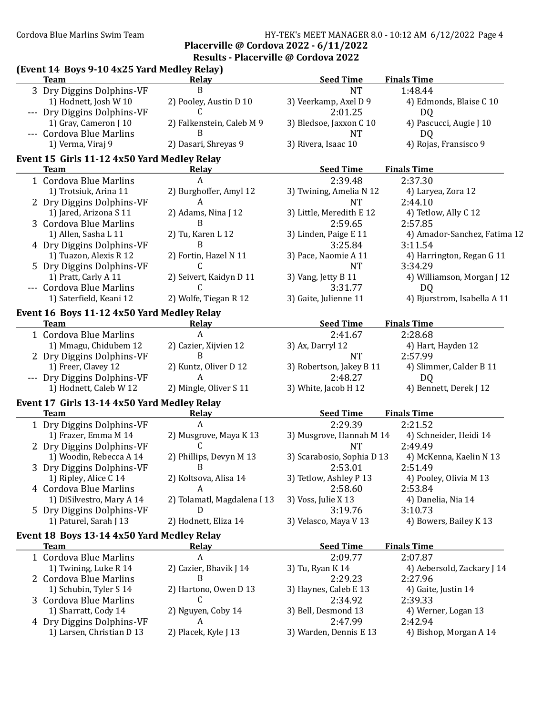## Cordova Blue Marlins Swim Team Team HY-TEK's MEET MANAGER 8.0 - 10:12 AM 6/12/2022 Page 4

### Placerville @ Cordova 2022 - 6/11/2022 Results - Placerville @ Cordova 2022

# (Event 14 Boys 9-10 4x25 Yard Medley Relay)<br>Team Relay elay Seed Time Finals Time<br>B NT 1:48.44 3 Dry Diggins Dolphins-VF B NT 1:48.44

| 1) Hodnett, Josh W 10                       | 2) Pooley, Austin D 10      | 3) Veerkamp, Axel D 9      | 4) Edmonds, Blaise C 10      |
|---------------------------------------------|-----------------------------|----------------------------|------------------------------|
| --- Dry Diggins Dolphins-VF                 |                             | 2:01.25                    | DQ                           |
| 1) Gray, Cameron J 10                       | 2) Falkenstein, Caleb M 9   | 3) Bledsoe, Jaxxon C 10    | 4) Pascucci, Augie J 10      |
| --- Cordova Blue Marlins                    | B                           | <b>NT</b>                  | DQ                           |
| 1) Verma, Viraj 9                           | 2) Dasari, Shreyas 9        | 3) Rivera, Isaac 10        | 4) Rojas, Fransisco 9        |
| Event 15 Girls 11-12 4x50 Yard Medley Relay |                             |                            |                              |
| <b>Team</b>                                 | Relay                       | <b>Seed Time</b>           | <b>Finals Time</b>           |
| 1 Cordova Blue Marlins                      | A                           | 2:39.48                    | 2:37.30                      |
| 1) Trotsiuk, Arina 11                       | 2) Burghoffer, Amyl 12      | 3) Twining, Amelia N 12    | 4) Laryea, Zora 12           |
| 2 Dry Diggins Dolphins-VF                   | A                           | <b>NT</b>                  | 2:44.10                      |
| 1) Jared, Arizona S 11                      | 2) Adams, Nina J 12         | 3) Little, Meredith E 12   | 4) Tetlow, Ally C 12         |
| 3 Cordova Blue Marlins                      | <sub>R</sub>                | 2:59.65                    | 2:57.85                      |
| 1) Allen, Sasha L 11                        | 2) Tu, Karen L 12           | 3) Linden, Paige E 11      | 4) Amador-Sanchez, Fatima 12 |
| 4 Dry Diggins Dolphins-VF                   | B                           | 3:25.84                    | 3:11.54                      |
| 1) Tuazon, Alexis R 12                      | 2) Fortin, Hazel N 11       | 3) Pace, Naomie A 11       | 4) Harrington, Regan G 11    |
| 5 Dry Diggins Dolphins-VF                   | C.                          | <b>NT</b>                  | 3:34.29                      |
| 1) Pratt, Carly A 11                        | 2) Seivert, Kaidyn D 11     | 3) Vang, Jetty B 11        | 4) Williamson, Morgan J 12   |
| --- Cordova Blue Marlins                    | C.                          | 3:31.77                    | D <sub>Q</sub>               |
| 1) Saterfield, Keani 12                     | 2) Wolfe, Tiegan R 12       | 3) Gaite, Julienne 11      | 4) Bjurstrom, Isabella A 11  |
| Event 16 Boys 11-12 4x50 Yard Medley Relay  |                             |                            |                              |
| <b>Team</b>                                 | Relay                       | <b>Seed Time</b>           | <b>Finals Time</b>           |
| 1 Cordova Blue Marlins                      | A                           | 2:41.67                    | 2:28.68                      |
| 1) Mmagu, Chidubem 12                       | 2) Cazier, Xijvien 12       | 3) Ax, Darryl 12           | 4) Hart, Hayden 12           |
| 2 Dry Diggins Dolphins-VF                   | B                           | <b>NT</b>                  | 2:57.99                      |
| 1) Freer, Clavey 12                         | 2) Kuntz, Oliver D 12       | 3) Robertson, Jakey B 11   | 4) Slimmer, Calder B 11      |
| --- Dry Diggins Dolphins-VF                 | A                           | 2:48.27                    | DQ                           |
| 1) Hodnett, Caleb W 12                      | 2) Mingle, Oliver S 11      | 3) White, Jacob H 12       | 4) Bennett, Derek J 12       |
| Event 17 Girls 13-14 4x50 Yard Medley Relay |                             |                            |                              |
| <b>Team</b>                                 | <b>Relay</b>                | <b>Seed Time</b>           | <b>Finals Time</b>           |
| 1 Dry Diggins Dolphins-VF                   | A                           | 2:29.39                    | 2:21.52                      |
| 1) Frazer, Emma M 14                        | 2) Musgrove, Maya K 13      | 3) Musgrove, Hannah M 14   | 4) Schneider, Heidi 14       |
| 2 Dry Diggins Dolphins-VF                   | C                           | <b>NT</b>                  | 2:49.49                      |
| 1) Woodin, Rebecca A 14                     | 2) Phillips, Devyn M 13     | 3) Scarabosio, Sophia D 13 | 4) McKenna, Kaelin N 13      |
| 3 Dry Diggins Dolphins-VF                   | B                           | 2:53.01                    | 2:51.49                      |
| 1) Ripley, Alice C 14                       | 2) Koltsova, Alisa 14       | 3) Tetlow, Ashley P 13     | 4) Pooley, Olivia M 13       |
| 4 Cordova Blue Marlins                      | A                           | 2:58.60                    | 2:53.84                      |
| 1) DiSilvestro, Mary A 14                   | 2) Tolamatl, Magdalena I 13 | 3) Voss, Julie X 13        | 4) Danelia, Nia 14           |
| 5 Dry Diggins Dolphins-VF                   | D                           | 3:19.76                    | 3:10.73                      |
| 1) Paturel, Sarah J 13                      | 2) Hodnett, Eliza 14        | 3) Velasco, Maya V 13      | 4) Bowers, Bailey K 13       |
|                                             |                             |                            |                              |
| Event 18 Boys 13-14 4x50 Yard Medley Relay  |                             |                            |                              |
| <b>Team</b>                                 | Relay                       | <b>Seed Time</b>           | <b>Finals Time</b>           |
| 1 Cordova Blue Marlins                      | A                           | 2:09.77                    | 2:07.87                      |
| 1) Twining, Luke R 14                       | 2) Cazier, Bhavik J 14<br>B | 3) Tu, Ryan K 14           | 4) Aebersold, Zackary J 14   |
| 2 Cordova Blue Marlins                      |                             | 2:29.23                    | 2:27.96                      |
| 1) Schubin, Tyler S 14                      | 2) Hartono, Owen D 13       | 3) Haynes, Caleb E 13      | 4) Gaite, Justin 14          |

- 3 Cordova Blue Marlins C<br>
1) Sharratt, Cody 14 2) Nguyen, Coby 14 3) Bell, Desmond 13 4) Werne 4 Dry Diggins Dolphins-VF <br>
1) Larsen, Christian D 13 <br>
2) Placek, Kyle J 13 <br>
3) Warden, Dennis E 13 <br>
4) Bishop, Morgan A 14 1) Larsen, Christian D 13 2) Placek, Kyle J 13 3) Warden, Dennis E 13
- 4) Werner, Logan 13<br>2:42.94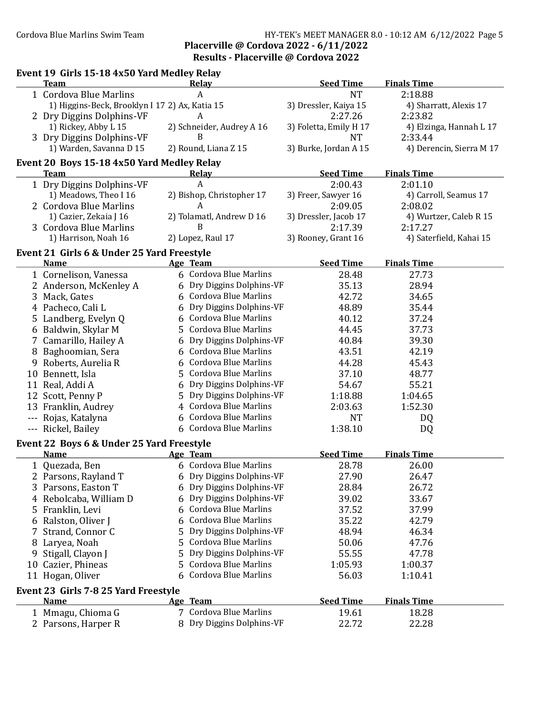### Cordova Blue Marlins Swim Team **HY-TEK's MEET MANAGER 8.0 - 10:12 AM 6/12/2022** Page 5 Placerville @ Cordova 2022 - 6/11/2022 Results - Placerville @ Cordova 2022

|   | Event 19 Girls 15-18 4x50 Yard Medley Relay    |    |                                    |                        |                          |
|---|------------------------------------------------|----|------------------------------------|------------------------|--------------------------|
|   | <b>Team</b>                                    |    | Relay                              | <b>Seed Time</b>       | <b>Finals Time</b>       |
|   | 1 Cordova Blue Marlins                         |    | A                                  | <b>NT</b>              | 2:18.88                  |
|   | 1) Higgins-Beck, Brooklyn I 17 2) Ax, Katia 15 |    |                                    | 3) Dressler, Kaiya 15  | 4) Sharratt, Alexis 17   |
|   | 2 Dry Diggins Dolphins-VF                      |    | A                                  | 2:27.26                | 2:23.82                  |
|   | 1) Rickey, Abby L 15                           |    | 2) Schneider, Audrey A 16          | 3) Foletta, Emily H 17 | 4) Elzinga, Hannah L 17  |
|   | 3 Dry Diggins Dolphins-VF                      |    | B                                  | <b>NT</b>              | 2:33.44                  |
|   | 1) Warden, Savanna D 15                        |    | 2) Round, Liana Z 15               | 3) Burke, Jordan A 15  | 4) Derencin, Sierra M 17 |
|   | Event 20 Boys 15-18 4x50 Yard Medley Relay     |    |                                    |                        |                          |
|   | <b>Team</b>                                    |    | <b>Relay</b>                       | <b>Seed Time</b>       | <b>Finals Time</b>       |
|   | 1 Dry Diggins Dolphins-VF                      |    | A                                  | 2:00.43                | 2:01.10                  |
|   | 1) Meadows, Theo I 16                          |    | 2) Bishop, Christopher 17          | 3) Freer, Sawyer 16    | 4) Carroll, Seamus 17    |
|   | 2 Cordova Blue Marlins                         |    | A                                  | 2:09.05                | 2:08.02                  |
|   | 1) Cazier, Zekaia J 16                         |    | 2) Tolamatl, Andrew D 16           | 3) Dressler, Jacob 17  | 4) Wurtzer, Caleb R 15   |
|   | 3 Cordova Blue Marlins                         |    | B                                  | 2:17.39                | 2:17.27                  |
|   | 1) Harrison, Noah 16                           |    | 2) Lopez, Raul 17                  | 3) Rooney, Grant 16    | 4) Saterfield, Kahai 15  |
|   | Event 21 Girls 6 & Under 25 Yard Freestyle     |    |                                    |                        |                          |
|   | <b>Name</b>                                    |    | Age Team                           | <b>Seed Time</b>       | <b>Finals Time</b>       |
|   | 1 Cornelison, Vanessa                          |    | 6 Cordova Blue Marlins             | 28.48                  | 27.73                    |
|   | 2 Anderson, McKenley A                         |    | 6 Dry Diggins Dolphins-VF          | 35.13                  | 28.94                    |
|   | 3 Mack, Gates                                  | 6  | Cordova Blue Marlins               | 42.72                  | 34.65                    |
|   | 4 Pacheco, Cali L                              | 6  | Dry Diggins Dolphins-VF            | 48.89                  | 35.44                    |
|   | 5 Landberg, Evelyn Q                           | 6  | <b>Cordova Blue Marlins</b>        | 40.12                  | 37.24                    |
|   | 6 Baldwin, Skylar M                            | 5  | Cordova Blue Marlins               | 44.45                  | 37.73                    |
|   | 7 Camarillo, Hailey A                          | 6  | Dry Diggins Dolphins-VF            | 40.84                  | 39.30                    |
|   | 8 Baghoomian, Sera                             | 6  | Cordova Blue Marlins               | 43.51                  | 42.19                    |
|   | 9 Roberts, Aurelia R                           | 6  | <b>Cordova Blue Marlins</b>        | 44.28                  | 45.43                    |
|   | 10 Bennett, Isla                               | 5  | <b>Cordova Blue Marlins</b>        | 37.10                  | 48.77                    |
|   | 11 Real, Addi A                                | 6  | Dry Diggins Dolphins-VF            | 54.67                  | 55.21                    |
|   | 12 Scott, Penny P                              | 5  | Dry Diggins Dolphins-VF            | 1:18.88                | 1:04.65                  |
|   | 13 Franklin, Audrey                            | 4  | <b>Cordova Blue Marlins</b>        | 2:03.63                | 1:52.30                  |
|   | --- Rojas, Katalyna                            | 6  | <b>Cordova Blue Marlins</b>        | <b>NT</b>              | DQ                       |
|   | --- Rickel, Bailey                             |    | 6 Cordova Blue Marlins             | 1:38.10                | DQ                       |
|   | Event 22 Boys 6 & Under 25 Yard Freestyle      |    |                                    |                        |                          |
|   | <b>Name</b>                                    |    | Age Team                           | <b>Seed Time</b>       | <b>Finals Time</b>       |
|   | 1 Quezada, Ben                                 |    | 6 Cordova Blue Marlins             | 28.78                  | 26.00                    |
|   | 2 Parsons, Rayland T                           | 6  | Dry Diggins Dolphins-VF            | 27.90                  | 26.47                    |
|   | 3 Parsons, Easton T                            | 6  | Dry Diggins Dolphins-VF            | 28.84                  | 26.72                    |
|   | 4 Rebolcaba, William D                         | 6  | Dry Diggins Dolphins-VF            | 39.02                  | 33.67                    |
|   | 5 Franklin, Levi                               | 6  | <b>Cordova Blue Marlins</b>        | 37.52                  | 37.99                    |
|   | 6 Ralston, Oliver J                            | 6  | <b>Cordova Blue Marlins</b>        | 35.22                  | 42.79                    |
| 7 | Strand, Connor C                               | 5  | Dry Diggins Dolphins-VF            | 48.94                  | 46.34                    |
|   | 8 Laryea, Noah                                 | 5  | Cordova Blue Marlins               | 50.06                  | 47.76                    |
|   | 9 Stigall, Clayon J                            | 5  | Dry Diggins Dolphins-VF            | 55.55                  | 47.78                    |
|   | 10 Cazier, Phineas                             | 5  | <b>Cordova Blue Marlins</b>        | 1:05.93                | 1:00.37                  |
|   | 11 Hogan, Oliver                               | 6  | <b>Cordova Blue Marlins</b>        | 56.03                  | 1:10.41                  |
|   |                                                |    |                                    |                        |                          |
|   | Event 23 Girls 7-8 25 Yard Freestyle           |    |                                    | <b>Seed Time</b>       | <b>Finals Time</b>       |
|   | <u>Name</u>                                    |    | Age Team<br>7 Cordova Blue Marlins |                        |                          |
|   | 1 Mmagu, Chioma G                              |    |                                    | 19.61                  | 18.28                    |
|   | 2 Parsons, Harper R                            | 8. | Dry Diggins Dolphins-VF            | 22.72                  | 22.28                    |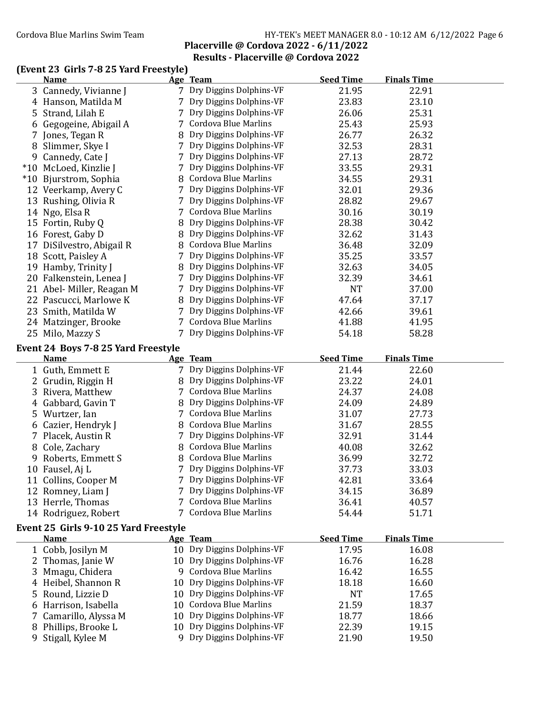### Cordova Blue Marlins Swim Team Fram Fram HY-TEK's MEET MANAGER 8.0 - 10:12 AM 6/12/2022 Page 6 Placerville @ Cordova 2022 - 6/11/2022 Results - Placerville @ Cordova 2022

## (Event 23 Girls 7-8 25 Yard Freestyle)

|   | <b>Name</b>                              |    | Age Team                                              | <b>Seed Time</b> | <b>Finals Time</b> |  |
|---|------------------------------------------|----|-------------------------------------------------------|------------------|--------------------|--|
|   | 3 Cannedy, Vivianne J                    |    | 7 Dry Diggins Dolphins-VF                             | 21.95            | 22.91              |  |
|   | 4 Hanson, Matilda M                      |    | Dry Diggins Dolphins-VF                               | 23.83            | 23.10              |  |
|   | 5 Strand, Lilah E                        |    | Dry Diggins Dolphins-VF                               | 26.06            | 25.31              |  |
|   | 6 Gegogeine, Abigail A                   |    | 7 Cordova Blue Marlins                                | 25.43            | 25.93              |  |
|   | 7 Jones, Tegan R                         |    | 8 Dry Diggins Dolphins-VF                             | 26.77            | 26.32              |  |
|   | 8 Slimmer, Skye I                        |    | 7 Dry Diggins Dolphins-VF                             | 32.53            | 28.31              |  |
|   | 9 Cannedy, Cate J                        |    | 7 Dry Diggins Dolphins-VF                             | 27.13            | 28.72              |  |
|   | *10 McLoed, Kinzlie J                    |    | 7 Dry Diggins Dolphins-VF                             | 33.55            | 29.31              |  |
|   | *10 Bjurstrom, Sophia                    |    | 8 Cordova Blue Marlins                                | 34.55            | 29.31              |  |
|   | 12 Veerkamp, Avery C                     |    | 7 Dry Diggins Dolphins-VF                             | 32.01            | 29.36              |  |
|   | 13 Rushing, Olivia R                     |    | 7 Dry Diggins Dolphins-VF                             | 28.82            | 29.67              |  |
|   | 14 Ngo, Elsa R                           |    | 7 Cordova Blue Marlins                                | 30.16            | 30.19              |  |
|   | 15 Fortin, Ruby Q                        |    | Dry Diggins Dolphins-VF                               | 28.38            | 30.42              |  |
|   | 16 Forest, Gaby D                        |    | Dry Diggins Dolphins-VF                               | 32.62            | 31.43              |  |
|   | 17 DiSilvestro, Abigail R                |    | 8 Cordova Blue Marlins                                | 36.48            | 32.09              |  |
|   | 18 Scott, Paisley A                      |    | Dry Diggins Dolphins-VF                               | 35.25            | 33.57              |  |
|   | 19 Hamby, Trinity J                      |    | 8 Dry Diggins Dolphins-VF                             | 32.63            | 34.05              |  |
|   | 20 Falkenstein, Lenea J                  |    | Dry Diggins Dolphins-VF                               | 32.39            | 34.61              |  |
|   | 21 Abel-Miller, Reagan M                 |    | 7 Dry Diggins Dolphins-VF                             | <b>NT</b>        | 37.00              |  |
|   | 22 Pascucci, Marlowe K                   |    | 8 Dry Diggins Dolphins-VF                             | 47.64            | 37.17              |  |
|   | 23 Smith, Matilda W                      | 7  | Dry Diggins Dolphins-VF                               | 42.66            | 39.61              |  |
|   | 24 Matzinger, Brooke                     |    | 7 Cordova Blue Marlins                                | 41.88            | 41.95              |  |
|   | 25 Milo, Mazzy S                         |    | 7 Dry Diggins Dolphins-VF                             | 54.18            | 58.28              |  |
|   |                                          |    |                                                       |                  |                    |  |
|   | Event 24 Boys 7-8 25 Yard Freestyle      |    |                                                       |                  |                    |  |
|   |                                          |    |                                                       |                  |                    |  |
|   | <b>Name</b>                              |    | Age Team                                              | <b>Seed Time</b> | <b>Finals Time</b> |  |
|   | 1 Guth, Emmett E                         |    | 7 Dry Diggins Dolphins-VF                             | 21.44            | 22.60              |  |
|   | 2 Grudin, Riggin H                       |    | 8 Dry Diggins Dolphins-VF                             | 23.22            | 24.01              |  |
|   | 3 Rivera, Matthew                        |    | 7 Cordova Blue Marlins                                | 24.37            | 24.08              |  |
|   | 4 Gabbard, Gavin T                       |    | 8 Dry Diggins Dolphins-VF                             | 24.09            | 24.89              |  |
|   | 5 Wurtzer, Ian                           |    | 7 Cordova Blue Marlins                                | 31.07            | 27.73              |  |
|   | 6 Cazier, Hendryk J                      |    | 8 Cordova Blue Marlins                                | 31.67            | 28.55              |  |
|   | 7 Placek, Austin R                       |    | 7 Dry Diggins Dolphins-VF                             | 32.91            | 31.44              |  |
|   | 8 Cole, Zachary                          |    | 8 Cordova Blue Marlins                                | 40.08            | 32.62              |  |
|   | 9 Roberts, Emmett S                      |    | 8 Cordova Blue Marlins                                | 36.99            | 32.72              |  |
|   | 10 Fausel, Aj L                          | 7  | Dry Diggins Dolphins-VF                               | 37.73            | 33.03              |  |
|   | 11 Collins, Cooper M                     |    | 7 Dry Diggins Dolphins-VF                             | 42.81            | 33.64              |  |
|   | 12 Romney, Liam J                        |    | 7 Dry Diggins Dolphins-VF                             | 34.15            | 36.89              |  |
|   | 13 Herrle, Thomas                        | 7  | <b>Cordova Blue Marlins</b>                           | 36.41            | 40.57              |  |
|   | 14 Rodriguez, Robert                     |    | 7 Cordova Blue Marlins                                | 54.44            | 51.71              |  |
|   |                                          |    |                                                       |                  |                    |  |
|   | Event 25 Girls 9-10 25 Yard Freestyle    |    |                                                       |                  |                    |  |
|   | Name                                     |    | Age Team                                              | <b>Seed Time</b> | <b>Finals Time</b> |  |
|   | 1 Cobb, Josilyn M                        |    | 10 Dry Diggins Dolphins-VF                            | 17.95            | 16.08              |  |
|   | 2 Thomas, Janie W                        |    | 10 Dry Diggins Dolphins-VF                            | 16.76            | 16.28              |  |
| 3 | Mmagu, Chidera                           |    | 9 Cordova Blue Marlins                                | 16.42            | 16.55              |  |
|   | 4 Heibel, Shannon R                      | 10 | Dry Diggins Dolphins-VF                               | 18.18            | 16.60              |  |
|   | 5 Round, Lizzie D                        |    | 10 Dry Diggins Dolphins-VF                            | <b>NT</b>        | 17.65              |  |
|   | 6 Harrison, Isabella                     |    | 10 Cordova Blue Marlins                               | 21.59            | 18.37              |  |
|   | 7 Camarillo, Alyssa M                    | 10 | Dry Diggins Dolphins-VF                               | 18.77            | 18.66              |  |
| 9 | 8 Phillips, Brooke L<br>Stigall, Kylee M | 9. | 10 Dry Diggins Dolphins-VF<br>Dry Diggins Dolphins-VF | 22.39<br>21.90   | 19.15<br>19.50     |  |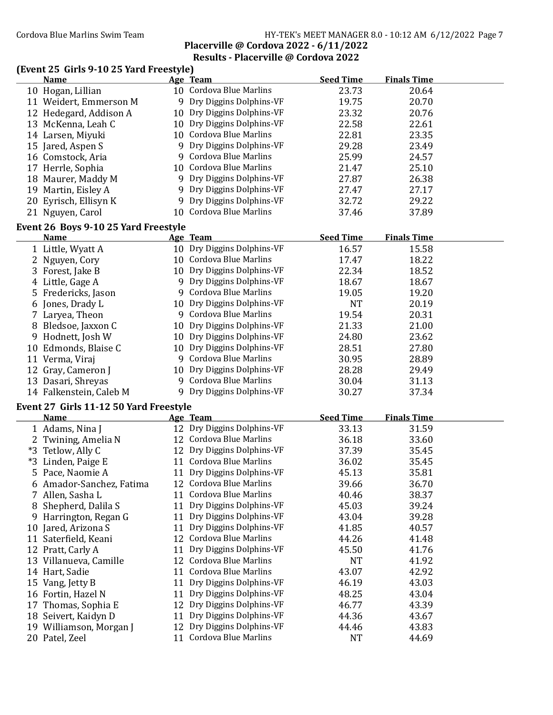### Cordova Blue Marlins Swim Team Fram Fram HY-TEK's MEET MANAGER 8.0 - 10:12 AM 6/12/2022 Page 7 Placerville @ Cordova 2022 - 6/11/2022

## Results - Placerville @ Cordova 2022

## (Event 25 Girls 9-10 25 Yard Freestyle)

| <b>Name</b>                               |    | Age Team                                              | <b>Seed Time</b>   | <b>Finals Time</b> |  |
|-------------------------------------------|----|-------------------------------------------------------|--------------------|--------------------|--|
| 10 Hogan, Lillian                         |    | 10 Cordova Blue Marlins                               | 23.73              | 20.64              |  |
| 11 Weidert, Emmerson M                    |    | 9 Dry Diggins Dolphins-VF                             | 19.75              | 20.70              |  |
| 12 Hedegard, Addison A                    |    | 10 Dry Diggins Dolphins-VF                            | 23.32              | 20.76              |  |
| 13 McKenna, Leah C                        |    | 10 Dry Diggins Dolphins-VF                            | 22.58              | 22.61              |  |
| 14 Larsen, Miyuki                         |    | 10 Cordova Blue Marlins                               | 22.81              | 23.35              |  |
| 15 Jared, Aspen S                         | 9  | Dry Diggins Dolphins-VF                               | 29.28              | 23.49              |  |
| 16 Comstock, Aria                         |    | 9 Cordova Blue Marlins                                | 25.99              | 24.57              |  |
| 17 Herrle, Sophia                         |    | 10 Cordova Blue Marlins                               | 21.47              | 25.10              |  |
| 18 Maurer, Maddy M                        |    | 9 Dry Diggins Dolphins-VF                             | 27.87              | 26.38              |  |
| 19 Martin, Eisley A                       |    | 9 Dry Diggins Dolphins-VF                             | 27.47              | 27.17              |  |
| 20 Eyrisch, Ellisyn K                     |    | 9 Dry Diggins Dolphins-VF                             | 32.72              | 29.22              |  |
| 21 Nguyen, Carol                          |    | 10 Cordova Blue Marlins                               | 37.46              | 37.89              |  |
|                                           |    |                                                       |                    |                    |  |
| Event 26 Boys 9-10 25 Yard Freestyle      |    |                                                       |                    |                    |  |
| <b>Name</b>                               |    | Age Team                                              | <b>Seed Time</b>   | <b>Finals Time</b> |  |
| 1 Little, Wyatt A                         |    | 10 Dry Diggins Dolphins-VF                            | 16.57              | 15.58              |  |
| 2 Nguyen, Cory                            |    | 10 Cordova Blue Marlins                               | 17.47              | 18.22              |  |
| 3 Forest, Jake B                          |    | 10 Dry Diggins Dolphins-VF                            | 22.34              | 18.52              |  |
| 4 Little, Gage A                          |    | 9 Dry Diggins Dolphins-VF                             | 18.67              | 18.67              |  |
| 5 Fredericks, Jason                       |    | 9 Cordova Blue Marlins                                | 19.05              | 19.20              |  |
| 6 Jones, Drady L                          |    | 10 Dry Diggins Dolphins-VF                            | <b>NT</b>          | 20.19              |  |
| 7 Laryea, Theon                           |    | 9 Cordova Blue Marlins                                | 19.54              | 20.31              |  |
| 8 Bledsoe, Jaxxon C                       |    | 10 Dry Diggins Dolphins-VF                            | 21.33              | 21.00              |  |
| 9 Hodnett, Josh W                         |    | 10 Dry Diggins Dolphins-VF                            | 24.80              | 23.62              |  |
| 10 Edmonds, Blaise C                      |    | 10 Dry Diggins Dolphins-VF                            | 28.51              | 27.80              |  |
| 11 Verma, Viraj                           |    | 9 Cordova Blue Marlins                                | 30.95              | 28.89              |  |
| 12 Gray, Cameron J                        |    | 10 Dry Diggins Dolphins-VF                            | 28.28              | 29.49              |  |
| 13 Dasari, Shreyas                        |    | 9 Cordova Blue Marlins                                | 30.04              | 31.13              |  |
| 14 Falkenstein, Caleb M                   |    | 9 Dry Diggins Dolphins-VF                             | 30.27              | 37.34              |  |
| Event 27 Girls 11-12 50 Yard Freestyle    |    |                                                       |                    |                    |  |
| <b>Name</b>                               |    | Age Team                                              | <b>Seed Time</b>   | <b>Finals Time</b> |  |
| 1 Adams, Nina J                           |    | 12 Dry Diggins Dolphins-VF                            | 33.13              | 31.59              |  |
| 2 Twining, Amelia N                       |    | 12 Cordova Blue Marlins                               | 36.18              | 33.60              |  |
| *3 Tetlow, Ally C                         |    | 12 Dry Diggins Dolphins-VF                            | 37.39              | 35.45              |  |
| *3 Linden, Paige E                        |    | 11 Cordova Blue Marlins                               | 36.02              | 35.45              |  |
| 5 Pace, Naomie A                          |    | 11 Dry Diggins Dolphins-VF                            | 45.13              | 35.81              |  |
| 6 Amador-Sanchez, Fatima                  |    | 12 Cordova Blue Marlins                               | 39.66              | 36.70              |  |
| 7 Allen, Sasha L                          |    | 11 Cordova Blue Marlins                               | 40.46              | 38.37              |  |
| 8 Shepherd, Dalila S                      |    | 11 Dry Diggins Dolphins-VF                            | 45.03              | 39.24              |  |
| 9 Harrington, Regan G                     |    | 11 Dry Diggins Dolphins-VF                            | 43.04              | 39.28              |  |
| 10 Jared, Arizona S                       |    | 11 Dry Diggins Dolphins-VF                            | 41.85              | 40.57              |  |
| 11 Saterfield, Keani                      |    | 12 Cordova Blue Marlins                               | 44.26              | 41.48              |  |
| 12 Pratt, Carly A                         | 11 | Dry Diggins Dolphins-VF                               | 45.50              | 41.76              |  |
| 13 Villanueva, Camille                    |    | 12 Cordova Blue Marlins                               | <b>NT</b>          | 41.92              |  |
| 14 Hart, Sadie                            |    | 11 Cordova Blue Marlins                               | 43.07              | 42.92              |  |
| 15 Vang, Jetty B                          | 11 | Dry Diggins Dolphins-VF                               | 46.19              | 43.03              |  |
| 16 Fortin, Hazel N                        | 11 | Dry Diggins Dolphins-VF                               | 48.25              | 43.04              |  |
| 17 Thomas, Sophia E                       | 12 | Dry Diggins Dolphins-VF                               | 46.77              | 43.39              |  |
| 18 Seivert, Kaidyn D                      | 11 | Dry Diggins Dolphins-VF                               | 44.36              | 43.67              |  |
|                                           |    |                                                       |                    |                    |  |
|                                           |    |                                                       |                    |                    |  |
| 19 Williamson, Morgan J<br>20 Patel, Zeel |    | 12 Dry Diggins Dolphins-VF<br>11 Cordova Blue Marlins | 44.46<br><b>NT</b> | 43.83<br>44.69     |  |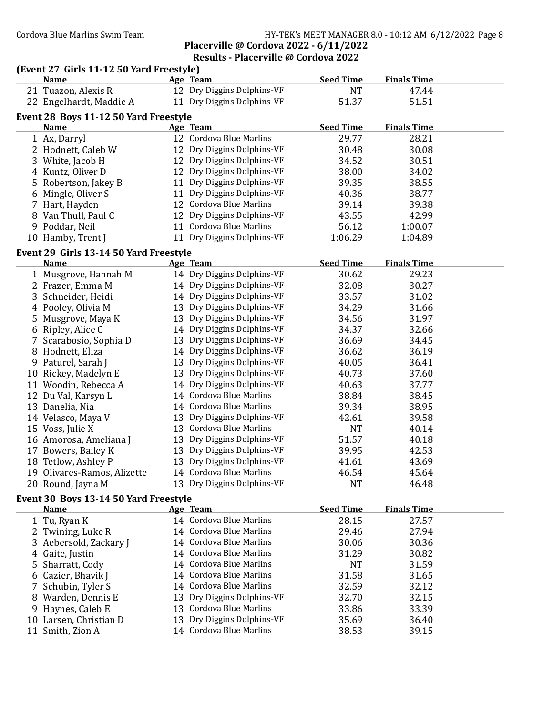### Cordova Blue Marlins Swim Team Team HY-TEK's MEET MANAGER 8.0 - 10:12 AM 6/12/2022 Page 8 Placerville @ Cordova 2022 - 6/11/2022

## Results - Placerville @ Cordova 2022

### (Event 27 Girls 11-12 50 Yard Freestyle)

|    | <b>Name</b>                            |    | Age Team                    | <b>Seed Time</b> | <b>Finals Time</b> |  |
|----|----------------------------------------|----|-----------------------------|------------------|--------------------|--|
|    | 21 Tuazon, Alexis R                    |    | 12 Dry Diggins Dolphins-VF  | <b>NT</b>        | 47.44              |  |
|    | 22 Engelhardt, Maddie A                |    | 11 Dry Diggins Dolphins-VF  | 51.37            | 51.51              |  |
|    | Event 28 Boys 11-12 50 Yard Freestyle  |    |                             |                  |                    |  |
|    | <u>Name</u>                            |    | Age Team                    | <b>Seed Time</b> | <b>Finals Time</b> |  |
|    | 1 Ax, Darryl                           |    | 12 Cordova Blue Marlins     | 29.77            | 28.21              |  |
|    | 2 Hodnett, Caleb W                     |    | 12 Dry Diggins Dolphins-VF  | 30.48            | 30.08              |  |
|    | 3 White, Jacob H                       |    | 12 Dry Diggins Dolphins-VF  | 34.52            | 30.51              |  |
|    | 4 Kuntz, Oliver D                      |    | 12 Dry Diggins Dolphins-VF  | 38.00            | 34.02              |  |
|    | 5 Robertson, Jakey B                   |    | 11 Dry Diggins Dolphins-VF  | 39.35            | 38.55              |  |
|    | 6 Mingle, Oliver S                     |    | 11 Dry Diggins Dolphins-VF  | 40.36            | 38.77              |  |
|    | 7 Hart, Hayden                         |    | 12 Cordova Blue Marlins     | 39.14            | 39.38              |  |
|    | 8 Van Thull, Paul C                    |    | 12 Dry Diggins Dolphins-VF  | 43.55            | 42.99              |  |
|    | 9 Poddar, Neil                         |    | 11 Cordova Blue Marlins     | 56.12            | 1:00.07            |  |
|    | 10 Hamby, Trent J                      |    | 11 Dry Diggins Dolphins-VF  | 1:06.29          | 1:04.89            |  |
|    | Event 29 Girls 13-14 50 Yard Freestyle |    |                             |                  |                    |  |
|    | <b>Name</b>                            |    | Age Team                    | <b>Seed Time</b> | <b>Finals Time</b> |  |
|    | 1 Musgrove, Hannah M                   |    | 14 Dry Diggins Dolphins-VF  | 30.62            | 29.23              |  |
|    | 2 Frazer, Emma M                       |    | 14 Dry Diggins Dolphins-VF  | 32.08            | 30.27              |  |
|    | 3 Schneider, Heidi                     |    | 14 Dry Diggins Dolphins-VF  | 33.57            | 31.02              |  |
|    | 4 Pooley, Olivia M                     |    | 13 Dry Diggins Dolphins-VF  | 34.29            | 31.66              |  |
|    | 5 Musgrove, Maya K                     |    | 13 Dry Diggins Dolphins-VF  | 34.56            | 31.97              |  |
|    | 6 Ripley, Alice C                      |    | 14 Dry Diggins Dolphins-VF  | 34.37            | 32.66              |  |
|    | 7 Scarabosio, Sophia D                 |    | 13 Dry Diggins Dolphins-VF  | 36.69            | 34.45              |  |
|    | 8 Hodnett, Eliza                       |    | 14 Dry Diggins Dolphins-VF  | 36.62            | 36.19              |  |
|    | 9 Paturel, Sarah J                     |    | 13 Dry Diggins Dolphins-VF  | 40.05            | 36.41              |  |
|    | 10 Rickey, Madelyn E                   |    | 13 Dry Diggins Dolphins-VF  | 40.73            | 37.60              |  |
|    | 11 Woodin, Rebecca A                   |    | 14 Dry Diggins Dolphins-VF  | 40.63            | 37.77              |  |
|    | 12 Du Val, Karsyn L                    |    | 14 Cordova Blue Marlins     | 38.84            | 38.45              |  |
|    | 13 Danelia, Nia                        |    | 14 Cordova Blue Marlins     | 39.34            | 38.95              |  |
|    | 14 Velasco, Maya V                     |    | 13 Dry Diggins Dolphins-VF  | 42.61            | 39.58              |  |
|    | 15 Voss, Julie X                       |    | 13 Cordova Blue Marlins     | <b>NT</b>        | 40.14              |  |
|    | 16 Amorosa, Ameliana J                 |    | 13 Dry Diggins Dolphins-VF  | 51.57            | 40.18              |  |
|    | 17 Bowers, Bailey K                    |    | 13 Dry Diggins Dolphins-VF  | 39.95            | 42.53              |  |
|    | 18 Tetlow, Ashley P                    |    | 13 Dry Diggins Dolphins-VF  | 41.61            | 43.69              |  |
|    | 19 Olivares-Ramos, Alizette            |    | 14 Cordova Blue Marlins     | 46.54            | 45.64              |  |
|    | 20 Round, Jayna M                      |    | 13 Dry Diggins Dolphins-VF  | NT               | 46.48              |  |
|    | Event 30 Boys 13-14 50 Yard Freestyle  |    |                             |                  |                    |  |
|    | <b>Name</b>                            |    | Age Team                    | <b>Seed Time</b> | <b>Finals Time</b> |  |
|    | 1 Tu, Ryan K                           |    | 14 Cordova Blue Marlins     | 28.15            | 27.57              |  |
|    | 2 Twining, Luke R                      |    | 14 Cordova Blue Marlins     | 29.46            | 27.94              |  |
|    | Aebersold, Zackary J                   | 14 | <b>Cordova Blue Marlins</b> | 30.06            | 30.36              |  |
| 4  | Gaite, Justin                          |    | 14 Cordova Blue Marlins     | 31.29            | 30.82              |  |
| 5. | Sharratt, Cody                         | 14 | <b>Cordova Blue Marlins</b> | <b>NT</b>        | 31.59              |  |
| 6  | Cazier, Bhavik J                       |    | 14 Cordova Blue Marlins     | 31.58            | 31.65              |  |
|    | Schubin, Tyler S                       |    | 14 Cordova Blue Marlins     | 32.59            | 32.12              |  |
|    | 8 Warden, Dennis E                     |    | 13 Dry Diggins Dolphins-VF  | 32.70            | 32.15              |  |

9 Haynes, Caleb E 13 Cordova Blue Marlins 33.86 33.39<br>10 Larsen, Christian D 13 Dry Diggins Dolphins-VF 35.69 36.40 10 Larsen, Christian D 13 Dry Diggins Dolphins-VF 35.69 36.40<br>11 Smith, Zion A 14 Cordova Blue Marlins 38.53 39.15

14 Cordova Blue Marlins 38.53 39.15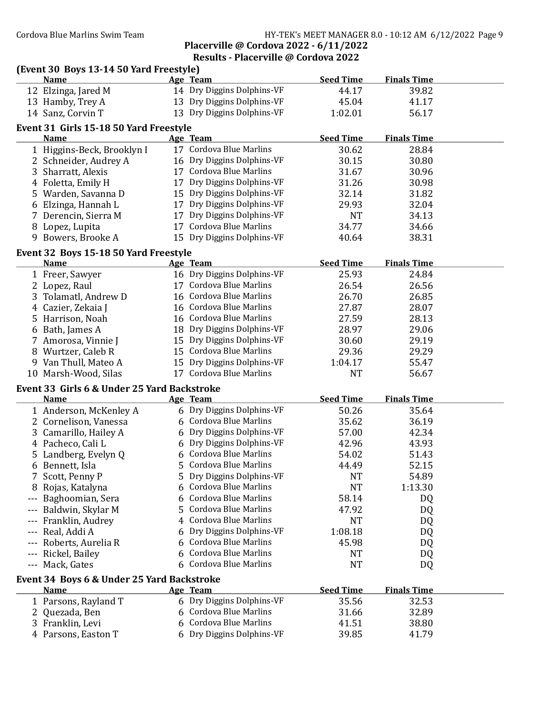### Cordova Blue Marlins Swim Team Team HY-TEK's MEET MANAGER 8.0 - 10:12 AM 6/12/2022 Page 9 Placerville @ Cordova 2022 - 6/11/2022

## Results - Placerville @ Cordova 2022

|                     | (Event 30 Boys 13-14 50 Yard Freestyle)<br><b>Name</b>     |    | Age Team                                              | <b>Seed Time</b> | <b>Finals Time</b> |  |
|---------------------|------------------------------------------------------------|----|-------------------------------------------------------|------------------|--------------------|--|
|                     | 12 Elzinga, Jared M                                        |    | 14 Dry Diggins Dolphins-VF                            | 44.17            | 39.82              |  |
|                     | 13 Hamby, Trey A                                           |    | 13 Dry Diggins Dolphins-VF                            | 45.04            | 41.17              |  |
|                     | 14 Sanz, Corvin T                                          |    | 13 Dry Diggins Dolphins-VF                            | 1:02.01          | 56.17              |  |
|                     |                                                            |    |                                                       |                  |                    |  |
|                     | Event 31 Girls 15-18 50 Yard Freestyle                     |    |                                                       |                  |                    |  |
|                     | <b>Name</b>                                                |    | Age Team                                              | <b>Seed Time</b> | <b>Finals Time</b> |  |
|                     | 1 Higgins-Beck, Brooklyn I                                 |    | 17 Cordova Blue Marlins                               | 30.62            | 28.84              |  |
|                     | 2 Schneider, Audrey A                                      |    | 16 Dry Diggins Dolphins-VF                            | 30.15            | 30.80              |  |
|                     | 3 Sharratt, Alexis                                         |    | 17 Cordova Blue Marlins                               | 31.67            | 30.96              |  |
|                     | 4 Foletta, Emily H                                         |    | 17 Dry Diggins Dolphins-VF                            | 31.26            | 30.98              |  |
|                     | 5 Warden, Savanna D                                        |    | 15 Dry Diggins Dolphins-VF                            | 32.14            | 31.82              |  |
|                     | 6 Elzinga, Hannah L                                        |    | 17 Dry Diggins Dolphins-VF                            | 29.93            | 32.04              |  |
|                     | 7 Derencin, Sierra M                                       |    | 17 Dry Diggins Dolphins-VF                            | <b>NT</b>        | 34.13              |  |
|                     | 8 Lopez, Lupita                                            |    | 17 Cordova Blue Marlins                               | 34.77            | 34.66              |  |
|                     | 9 Bowers, Brooke A                                         |    | 15 Dry Diggins Dolphins-VF                            | 40.64            | 38.31              |  |
|                     | Event 32 Boys 15-18 50 Yard Freestyle                      |    |                                                       |                  |                    |  |
|                     | Name                                                       |    | Age Team<br>16 Dry Diggins Dolphins-VF                | <b>Seed Time</b> | <b>Finals Time</b> |  |
|                     | 1 Freer, Sawyer                                            |    | 17 Cordova Blue Marlins                               | 25.93            | 24.84              |  |
|                     | 2 Lopez, Raul                                              |    |                                                       | 26.54            | 26.56              |  |
|                     | 3 Tolamatl, Andrew D                                       |    | 16 Cordova Blue Marlins                               | 26.70            | 26.85              |  |
|                     | 4 Cazier, Zekaia J                                         |    | 16 Cordova Blue Marlins<br>16 Cordova Blue Marlins    | 27.87            | 28.07              |  |
|                     | 5 Harrison, Noah                                           |    |                                                       | 27.59            | 28.13              |  |
|                     | 6 Bath, James A                                            |    | 18 Dry Diggins Dolphins-VF                            | 28.97            | 29.06              |  |
|                     | 7 Amorosa, Vinnie J                                        |    | 15 Dry Diggins Dolphins-VF<br>15 Cordova Blue Marlins | 30.60            | 29.19              |  |
|                     | 8 Wurtzer, Caleb R                                         |    |                                                       | 29.36            | 29.29              |  |
|                     | 9 Van Thull, Mateo A                                       |    | 15 Dry Diggins Dolphins-VF<br>17 Cordova Blue Marlins | 1:04.17          | 55.47              |  |
|                     | 10 Marsh-Wood, Silas                                       |    |                                                       | <b>NT</b>        | 56.67              |  |
|                     | Event 33 Girls 6 & Under 25 Yard Backstroke<br><b>Name</b> |    | Age Team                                              | <b>Seed Time</b> | <b>Finals Time</b> |  |
|                     | 1 Anderson, McKenley A                                     |    | 6 Dry Diggins Dolphins-VF                             | 50.26            | 35.64              |  |
|                     | 2 Cornelison, Vanessa                                      |    | 6 Cordova Blue Marlins                                | 35.62            | 36.19              |  |
|                     | 3 Camarillo, Hailey A                                      |    | 6 Dry Diggins Dolphins-VF                             | 57.00            | 42.34              |  |
|                     | 4 Pacheco, Cali L                                          |    | 6 Dry Diggins Dolphins-VF                             | 42.96            | 43.93              |  |
|                     | 5 Landberg, Evelyn Q                                       |    | 6 Cordova Blue Marlins                                | 54.02            | 51.43              |  |
|                     | 6 Bennett, Isla                                            |    | 5 Cordova Blue Marlins                                | 44.49            | 52.15              |  |
|                     | 7 Scott, Penny P                                           | 5. | Dry Diggins Dolphins-VF                               | <b>NT</b>        | 54.89              |  |
| 8                   | Rojas, Katalyna                                            | 6  | Cordova Blue Marlins                                  | <b>NT</b>        | 1:13.30            |  |
|                     | Baghoomian, Sera                                           | 6  | <b>Cordova Blue Marlins</b>                           | 58.14            | DQ                 |  |
|                     | Baldwin, Skylar M                                          | 5  | Cordova Blue Marlins                                  | 47.92            | DQ                 |  |
|                     | Franklin, Audrey                                           | 4  | Cordova Blue Marlins                                  | <b>NT</b>        | DQ                 |  |
| ---                 | Real, Addi A                                               | 6  | Dry Diggins Dolphins-VF                               | 1:08.18          | DQ                 |  |
| $- - -$             | Roberts, Aurelia R                                         | 6  | Cordova Blue Marlins                                  | 45.98            | DQ                 |  |
| $\qquad \qquad - -$ | Rickel, Bailey                                             | 6  | Cordova Blue Marlins                                  | NT               | DQ                 |  |
|                     | --- Mack, Gates                                            | 6  | Cordova Blue Marlins                                  | <b>NT</b>        | DQ                 |  |
|                     | Event 34 Boys 6 & Under 25 Yard Backstroke                 |    |                                                       |                  |                    |  |
|                     | <b>Name</b>                                                |    | Age Team                                              | <b>Seed Time</b> | <b>Finals Time</b> |  |
|                     | 1 Parsons, Rayland T                                       |    | 6 Dry Diggins Dolphins-VF                             | 35.56            | 32.53              |  |
| 2                   | Quezada, Ben                                               | 6  | Cordova Blue Marlins                                  | 31.66            | 32.89              |  |
|                     | 3 Franklin, Levi                                           | 6  | <b>Cordova Blue Marlins</b>                           | 41.51            | 38.80              |  |
|                     | 4 Parsons, Easton T                                        |    | 6 Dry Diggins Dolphins-VF                             | 39.85            | 41.79              |  |
|                     |                                                            |    |                                                       |                  |                    |  |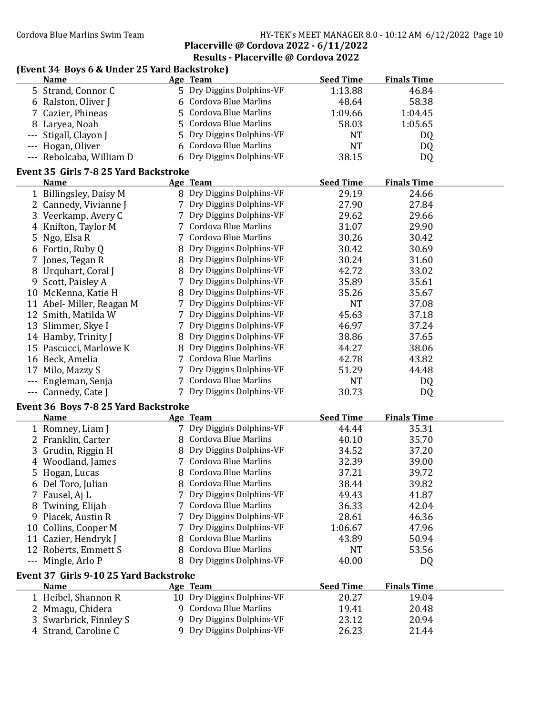## Cordova Blue Marlins Swim Team HY-TEK's MEET MANAGER 8.0 - 10:12 AM 6/12/2022 Page 10

Placerville @ Cordova 2022 - 6/11/2022 Results - Placerville @ Cordova 2022

## (Event 34 Boys 6 & Under 25 Yard Backstroke)

|    | <b>Name</b>                            |   | Age Team                    | <b>Seed Time</b> | <b>Finals Time</b> |  |
|----|----------------------------------------|---|-----------------------------|------------------|--------------------|--|
|    | 5 Strand, Connor C                     |   | 5 Dry Diggins Dolphins-VF   | 1:13.88          | 46.84              |  |
|    | 6 Ralston, Oliver J                    | 6 | Cordova Blue Marlins        | 48.64            | 58.38              |  |
|    | 7 Cazier, Phineas                      | 5 | Cordova Blue Marlins        | 1:09.66          | 1:04.45            |  |
|    | 8 Laryea, Noah                         | 5 | <b>Cordova Blue Marlins</b> | 58.03            | 1:05.65            |  |
|    | Stigall, Clayon J                      | 5 | Dry Diggins Dolphins-VF     | <b>NT</b>        | DQ                 |  |
|    | --- Hogan, Oliver                      | 6 | <b>Cordova Blue Marlins</b> | <b>NT</b>        | DQ                 |  |
|    | --- Rebolcaba, William D               | 6 | Dry Diggins Dolphins-VF     | 38.15            | DQ                 |  |
|    |                                        |   |                             |                  |                    |  |
|    | Event 35 Girls 7-8 25 Yard Backstroke  |   |                             |                  |                    |  |
|    | <b>Name</b>                            |   | Age Team                    | <b>Seed Time</b> | <b>Finals Time</b> |  |
|    | 1 Billingsley, Daisy M                 |   | 8 Dry Diggins Dolphins-VF   | 29.19            | 24.66              |  |
|    | 2 Cannedy, Vivianne J                  |   | 7 Dry Diggins Dolphins-VF   | 27.90            | 27.84              |  |
|    | 3 Veerkamp, Avery C                    |   | 7 Dry Diggins Dolphins-VF   | 29.62            | 29.66              |  |
|    | 4 Knifton, Taylor M                    |   | 7 Cordova Blue Marlins      | 31.07            | 29.90              |  |
|    | 5 Ngo, Elsa R                          |   | 7 Cordova Blue Marlins      | 30.26            | 30.42              |  |
|    | 6 Fortin, Ruby Q                       | 8 | Dry Diggins Dolphins-VF     | 30.42            | 30.69              |  |
|    | 7 Jones, Tegan R                       | 8 | Dry Diggins Dolphins-VF     | 30.24            | 31.60              |  |
|    | 8 Urquhart, Coral J                    |   | 8 Dry Diggins Dolphins-VF   | 42.72            | 33.02              |  |
|    | 9 Scott, Paisley A                     |   | 7 Dry Diggins Dolphins-VF   | 35.89            | 35.61              |  |
|    | 10 McKenna, Katie H                    | 8 | Dry Diggins Dolphins-VF     | 35.26            | 35.67              |  |
|    | 11 Abel-Miller, Reagan M               |   | 7 Dry Diggins Dolphins-VF   | <b>NT</b>        | 37.08              |  |
|    | 12 Smith, Matilda W                    |   | 7 Dry Diggins Dolphins-VF   | 45.63            | 37.18              |  |
|    | 13 Slimmer, Skye I                     |   | 7 Dry Diggins Dolphins-VF   | 46.97            | 37.24              |  |
|    | 14 Hamby, Trinity J                    | 8 | Dry Diggins Dolphins-VF     | 38.86            | 37.65              |  |
|    | 15 Pascucci, Marlowe K                 |   | 8 Dry Diggins Dolphins-VF   | 44.27            | 38.06              |  |
|    | 16 Beck, Amelia                        |   | 7 Cordova Blue Marlins      | 42.78            | 43.82              |  |
|    | 17 Milo, Mazzy S                       |   | 7 Dry Diggins Dolphins-VF   | 51.29            | 44.48              |  |
|    | Engleman, Senja                        |   | 7 Cordova Blue Marlins      | <b>NT</b>        | DQ                 |  |
|    | --- Cannedy, Cate J                    |   | 7 Dry Diggins Dolphins-VF   | 30.73            | DQ                 |  |
|    | Event 36 Boys 7-8 25 Yard Backstroke   |   |                             |                  |                    |  |
|    | <b>Name</b>                            |   | Age Team                    | <b>Seed Time</b> | <b>Finals Time</b> |  |
|    | 1 Romney, Liam J                       |   | 7 Dry Diggins Dolphins-VF   | 44.44            | 35.31              |  |
|    | 2 Franklin, Carter                     |   | 8 Cordova Blue Marlins      | 40.10            | 35.70              |  |
|    | 3 Grudin, Riggin H                     |   | 8 Dry Diggins Dolphins-VF   | 34.52            | 37.20              |  |
|    | 4 Woodland, James                      |   | 7 Cordova Blue Marlins      | 32.39            | 39.00              |  |
|    | 5 Hogan, Lucas                         |   | 8 Cordova Blue Marlins      | 37.21            | 39.72              |  |
|    |                                        |   | 8 Cordova Blue Marlins      |                  |                    |  |
|    | 6 Del Toro, Julian                     |   | Dry Diggins Dolphins-VF     | 38.44            | 39.82              |  |
|    | 7 Fausel, Aj L                         |   | <b>Cordova Blue Marlins</b> | 49.43            | 41.87              |  |
|    | 8 Twining, Elijah                      |   |                             | 36.33            | 42.04              |  |
|    | 9 Placek, Austin R                     |   | 7 Dry Diggins Dolphins-VF   | 28.61            | 46.36              |  |
|    | 10 Collins, Cooper M                   |   | Dry Diggins Dolphins-VF     | 1:06.67          | 47.96              |  |
| 11 | Cazier, Hendryk J                      | 8 | Cordova Blue Marlins        | 43.89            | 50.94              |  |
|    | 12 Roberts, Emmett S                   | 8 | <b>Cordova Blue Marlins</b> | NT               | 53.56              |  |
|    | --- Mingle, Arlo P                     | 8 | Dry Diggins Dolphins-VF     | 40.00            | DQ                 |  |
|    | Event 37 Girls 9-10 25 Yard Backstroke |   |                             |                  |                    |  |
|    | <b>Name</b>                            |   | Age Team                    | <b>Seed Time</b> | <b>Finals Time</b> |  |
|    | 1 Heibel, Shannon R                    |   | 10 Dry Diggins Dolphins-VF  | 20.27            | 19.04              |  |
|    | 2 Mmagu, Chidera                       |   | 9 Cordova Blue Marlins      | 19.41            | 20.48              |  |
|    | 3 Swarbrick, Finnley S                 | 9 | Dry Diggins Dolphins-VF     | 23.12            | 20.94              |  |
|    | 4 Strand, Caroline C                   |   | 9 Dry Diggins Dolphins-VF   | 26.23            | 21.44              |  |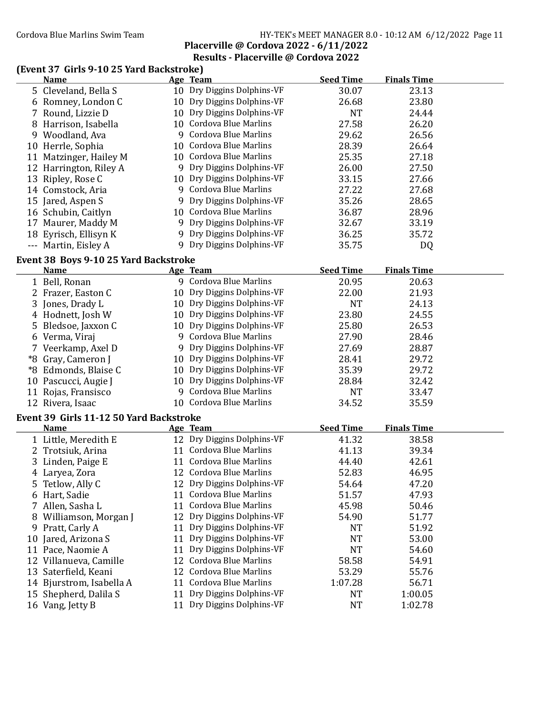### Cordova Blue Marlins Swim Team HY-TEK's MEET MANAGER 8.0 - 10:12 AM 6/12/2022 Page 11 Placerville @ Cordova 2022 - 6/11/2022

## Results - Placerville @ Cordova 2022

## (Event 37 Girls 9-10 25 Yard Backstroke)

|    | <b>Name</b>                                  |    | Age Team                    | <b>Seed Time</b> | <b>Finals Time</b> |  |
|----|----------------------------------------------|----|-----------------------------|------------------|--------------------|--|
|    | 5 Cleveland, Bella S                         |    | 10 Dry Diggins Dolphins-VF  | 30.07            | 23.13              |  |
|    | 6 Romney, London C                           |    | 10 Dry Diggins Dolphins-VF  | 26.68            | 23.80              |  |
| 7  | Round, Lizzie D                              |    | 10 Dry Diggins Dolphins-VF  | <b>NT</b>        | 24.44              |  |
| 8  | Harrison, Isabella                           |    | 10 Cordova Blue Marlins     | 27.58            | 26.20              |  |
|    | 9 Woodland, Ava                              |    | 9 Cordova Blue Marlins      | 29.62            | 26.56              |  |
|    | 10 Herrle, Sophia                            |    | 10 Cordova Blue Marlins     | 28.39            | 26.64              |  |
|    | 11 Matzinger, Hailey M                       |    | 10 Cordova Blue Marlins     | 25.35            | 27.18              |  |
|    | 12 Harrington, Riley A                       |    | 9 Dry Diggins Dolphins-VF   | 26.00            | 27.50              |  |
|    | 13 Ripley, Rose C                            |    | 10 Dry Diggins Dolphins-VF  | 33.15            | 27.66              |  |
|    | 14 Comstock, Aria                            |    | 9 Cordova Blue Marlins      | 27.22            | 27.68              |  |
|    | 15 Jared, Aspen S                            |    | 9 Dry Diggins Dolphins-VF   | 35.26            | 28.65              |  |
|    | 16 Schubin, Caitlyn                          |    | 10 Cordova Blue Marlins     | 36.87            | 28.96              |  |
|    | 17 Maurer, Maddy M                           |    | 9 Dry Diggins Dolphins-VF   | 32.67            | 33.19              |  |
|    | 18 Eyrisch, Ellisyn K                        |    | 9 Dry Diggins Dolphins-VF   | 36.25            | 35.72              |  |
|    | --- Martin, Eisley A                         |    | 9 Dry Diggins Dolphins-VF   | 35.75            | DQ                 |  |
|    | <b>Event 38 Boys 9-10 25 Yard Backstroke</b> |    |                             |                  |                    |  |
|    | <b>Name</b>                                  |    | Age Team                    | <b>Seed Time</b> | <b>Finals Time</b> |  |
|    | 1 Bell, Ronan                                |    | 9 Cordova Blue Marlins      | 20.95            | 20.63              |  |
|    | 2 Frazer, Easton C                           |    | 10 Dry Diggins Dolphins-VF  | 22.00            | 21.93              |  |
|    | 3 Jones, Drady L                             |    | 10 Dry Diggins Dolphins-VF  | <b>NT</b>        | 24.13              |  |
|    | 4 Hodnett, Josh W                            |    | 10 Dry Diggins Dolphins-VF  | 23.80            | 24.55              |  |
| 5. | Bledsoe, Jaxxon C                            |    | 10 Dry Diggins Dolphins-VF  | 25.80            | 26.53              |  |
|    | 6 Verma, Viraj                               |    | 9 Cordova Blue Marlins      | 27.90            | 28.46              |  |
|    | 7 Veerkamp, Axel D                           |    | 9 Dry Diggins Dolphins-VF   | 27.69            | 28.87              |  |
|    | *8 Gray, Cameron J                           |    | 10 Dry Diggins Dolphins-VF  | 28.41            | 29.72              |  |
|    | *8 Edmonds, Blaise C                         |    | 10 Dry Diggins Dolphins-VF  | 35.39            | 29.72              |  |
|    | 10 Pascucci, Augie J                         |    | 10 Dry Diggins Dolphins-VF  | 28.84            | 32.42              |  |
|    | 11 Rojas, Fransisco                          |    | 9 Cordova Blue Marlins      | <b>NT</b>        | 33.47              |  |
|    | 12 Rivera, Isaac                             |    | 10 Cordova Blue Marlins     | 34.52            | 35.59              |  |
|    | Event 39 Girls 11-12 50 Yard Backstroke      |    |                             |                  |                    |  |
|    | <u>Name</u>                                  |    | Age Team                    | <b>Seed Time</b> | <b>Finals Time</b> |  |
|    | 1 Little, Meredith E                         |    | 12 Dry Diggins Dolphins-VF  | 41.32            | 38.58              |  |
|    | 2 Trotsiuk, Arina                            |    | 11 Cordova Blue Marlins     | 41.13            | 39.34              |  |
| 3  | Linden, Paige E                              |    | 11 Cordova Blue Marlins     | 44.40            | 42.61              |  |
|    | 4 Laryea, Zora                               |    | 12 Cordova Blue Marlins     | 52.83            | 46.95              |  |
| 5  | Tetlow, Ally C                               |    | 12 Dry Diggins Dolphins-VF  | 54.64            | 47.20              |  |
| 6  | Hart, Sadie                                  | 11 | Cordova Blue Marlins        | 51.57            | 47.93              |  |
| 7  | Allen, Sasha L                               | 11 | Cordova Blue Marlins        | 45.98            | 50.46              |  |
| 8  | Williamson, Morgan J                         | 12 | Dry Diggins Dolphins-VF     | 54.90            | 51.77              |  |
| 9  | Pratt, Carly A                               | 11 | Dry Diggins Dolphins-VF     | <b>NT</b>        | 51.92              |  |
| 10 | Jared, Arizona S                             | 11 | Dry Diggins Dolphins-VF     | <b>NT</b>        | 53.00              |  |
|    | 11 Pace, Naomie A                            | 11 | Dry Diggins Dolphins-VF     | <b>NT</b>        | 54.60              |  |
| 12 | Villanueva, Camille                          | 12 | Cordova Blue Marlins        | 58.58            | 54.91              |  |
| 13 | Saterfield, Keani                            | 12 | <b>Cordova Blue Marlins</b> | 53.29            | 55.76              |  |
|    | 14 Bjurstrom, Isabella A                     |    | 11 Cordova Blue Marlins     | 1:07.28          | 56.71              |  |
| 15 | Shepherd, Dalila S                           | 11 | Dry Diggins Dolphins-VF     | NT               | 1:00.05            |  |
|    | 16 Vang, Jetty B                             | 11 | Dry Diggins Dolphins-VF     | <b>NT</b>        | 1:02.78            |  |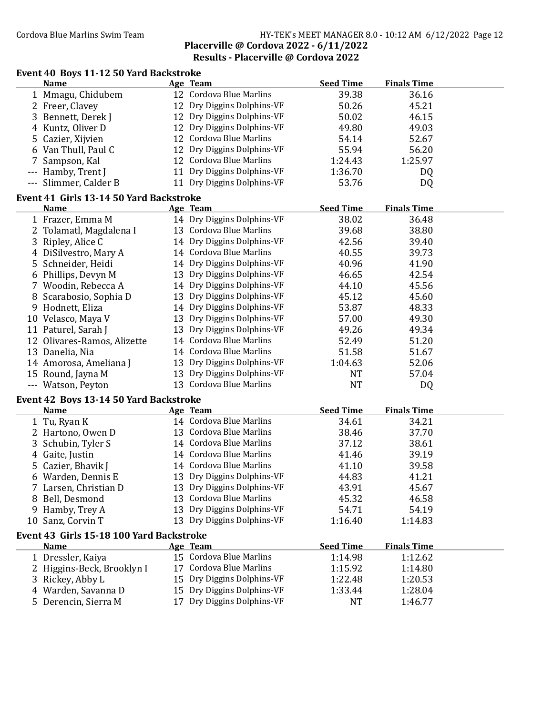### Cordova Blue Marlins Swim Team HY-TEK's MEET MANAGER 8.0 - 10:12 AM 6/12/2022 Page 12 Placerville @ Cordova 2022 - 6/11/2022 Results - Placerville @ Cordova 2022

# Event 40 Boys 11-12 50 Yard Backstroke

|   | <b>Name</b>                              |    | Age Team                    | <b>Seed Time</b> | <b>Finals Time</b> |  |
|---|------------------------------------------|----|-----------------------------|------------------|--------------------|--|
|   | 1 Mmagu, Chidubem                        |    | 12 Cordova Blue Marlins     | 39.38            | 36.16              |  |
|   | 2 Freer, Clavey                          |    | 12 Dry Diggins Dolphins-VF  | 50.26            | 45.21              |  |
|   | 3 Bennett, Derek J                       |    | 12 Dry Diggins Dolphins-VF  | 50.02            | 46.15              |  |
|   | 4 Kuntz, Oliver D                        |    | 12 Dry Diggins Dolphins-VF  | 49.80            | 49.03              |  |
|   | 5 Cazier, Xijvien                        |    | 12 Cordova Blue Marlins     | 54.14            | 52.67              |  |
|   | 6 Van Thull, Paul C                      |    | 12 Dry Diggins Dolphins-VF  | 55.94            | 56.20              |  |
|   | 7 Sampson, Kal                           |    | 12 Cordova Blue Marlins     | 1:24.43          | 1:25.97            |  |
|   | --- Hamby, Trent J                       |    | 11 Dry Diggins Dolphins-VF  | 1:36.70          | DQ                 |  |
|   | --- Slimmer, Calder B                    |    | 11 Dry Diggins Dolphins-VF  | 53.76            | DQ                 |  |
|   |                                          |    |                             |                  |                    |  |
|   | Event 41 Girls 13-14 50 Yard Backstroke  |    |                             |                  |                    |  |
|   | <b>Name</b>                              |    | Age Team                    | <b>Seed Time</b> | <b>Finals Time</b> |  |
|   | 1 Frazer, Emma M                         |    | 14 Dry Diggins Dolphins-VF  | 38.02            | 36.48              |  |
|   | 2 Tolamatl, Magdalena I                  |    | 13 Cordova Blue Marlins     | 39.68            | 38.80              |  |
|   | 3 Ripley, Alice C                        |    | 14 Dry Diggins Dolphins-VF  | 42.56            | 39.40              |  |
|   | 4 DiSilvestro, Mary A                    |    | 14 Cordova Blue Marlins     | 40.55            | 39.73              |  |
|   | 5 Schneider, Heidi                       |    | 14 Dry Diggins Dolphins-VF  | 40.96            | 41.90              |  |
|   | 6 Phillips, Devyn M                      |    | 13 Dry Diggins Dolphins-VF  | 46.65            | 42.54              |  |
|   | 7 Woodin, Rebecca A                      |    | 14 Dry Diggins Dolphins-VF  | 44.10            | 45.56              |  |
|   | 8 Scarabosio, Sophia D                   |    | 13 Dry Diggins Dolphins-VF  | 45.12            | 45.60              |  |
|   | 9 Hodnett, Eliza                         |    | 14 Dry Diggins Dolphins-VF  | 53.87            | 48.33              |  |
|   | 10 Velasco, Maya V                       |    | 13 Dry Diggins Dolphins-VF  | 57.00            | 49.30              |  |
|   | 11 Paturel, Sarah J                      |    | 13 Dry Diggins Dolphins-VF  | 49.26            | 49.34              |  |
|   | 12 Olivares-Ramos, Alizette              |    | 14 Cordova Blue Marlins     | 52.49            | 51.20              |  |
|   | 13 Danelia, Nia                          |    | 14 Cordova Blue Marlins     | 51.58            | 51.67              |  |
|   | 14 Amorosa, Ameliana J                   |    | 13 Dry Diggins Dolphins-VF  | 1:04.63          | 52.06              |  |
|   | 15 Round, Jayna M                        |    | 13 Dry Diggins Dolphins-VF  | <b>NT</b>        | 57.04              |  |
|   | --- Watson, Peyton                       |    | 13 Cordova Blue Marlins     | <b>NT</b>        | DQ                 |  |
|   | Event 42 Boys 13-14 50 Yard Backstroke   |    |                             |                  |                    |  |
|   | <b>Name</b>                              |    | <b>Age Team</b>             | <b>Seed Time</b> | <b>Finals Time</b> |  |
|   | 1 Tu, Ryan K                             |    | 14 Cordova Blue Marlins     | 34.61            | 34.21              |  |
|   | 2 Hartono, Owen D                        |    | 13 Cordova Blue Marlins     | 38.46            | 37.70              |  |
| 3 | Schubin, Tyler S                         |    | 14 Cordova Blue Marlins     | 37.12            | 38.61              |  |
|   | 4 Gaite, Justin                          |    | 14 Cordova Blue Marlins     | 41.46            | 39.19              |  |
|   | 5 Cazier, Bhavik J                       |    | 14 Cordova Blue Marlins     | 41.10            | 39.58              |  |
|   | 6 Warden, Dennis E                       |    | 13 Dry Diggins Dolphins-VF  | 44.83            | 41.21              |  |
|   | Larsen, Christian D                      |    | 13 Dry Diggins Dolphins-VF  | 43.91            | 45.67              |  |
|   | Bell, Desmond                            |    | 13 Cordova Blue Marlins     | 45.32            | 46.58              |  |
|   | 9 Hamby, Trey A                          |    | 13 Dry Diggins Dolphins-VF  | 54.71            | 54.19              |  |
|   | 10 Sanz, Corvin T                        |    | 13 Dry Diggins Dolphins-VF  | 1:16.40          | 1:14.83            |  |
|   |                                          |    |                             |                  |                    |  |
|   | Event 43 Girls 15-18 100 Yard Backstroke |    |                             |                  |                    |  |
|   | <b>Name</b>                              |    | <u>Age Team</u>             | <b>Seed Time</b> | <b>Finals Time</b> |  |
|   | 1 Dressler, Kaiya                        |    | 15 Cordova Blue Marlins     | 1:14.98          | 1:12.62            |  |
|   | 2 Higgins-Beck, Brooklyn I               | 17 | <b>Cordova Blue Marlins</b> | 1:15.92          | 1:14.80            |  |
|   | 3 Rickey, Abby L                         | 15 | Dry Diggins Dolphins-VF     | 1:22.48          | 1:20.53            |  |
|   | 4 Warden, Savanna D                      |    | 15 Dry Diggins Dolphins-VF  | 1:33.44          | 1:28.04            |  |
|   | 5 Derencin, Sierra M                     | 17 | Dry Diggins Dolphins-VF     | <b>NT</b>        | 1:46.77            |  |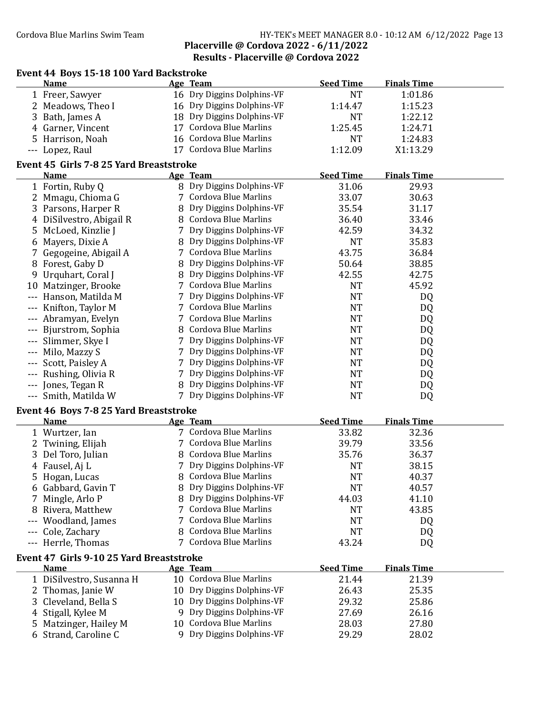### Cordova Blue Marlins Swim Team HY-TEK's MEET MANAGER 8.0 - 10:12 AM 6/12/2022 Page 13 Placerville @ Cordova 2022 - 6/11/2022 Results - Placerville @ Cordova 2022

|    | Event 44 Boys 15-18 100 Yard Backstroke  |    |                             |                  |                    |  |
|----|------------------------------------------|----|-----------------------------|------------------|--------------------|--|
|    | <b>Name</b>                              |    | Age Team                    | <b>Seed Time</b> | <b>Finals Time</b> |  |
|    | 1 Freer, Sawyer                          |    | 16 Dry Diggins Dolphins-VF  | <b>NT</b>        | 1:01.86            |  |
|    | 2 Meadows, Theo I                        |    | 16 Dry Diggins Dolphins-VF  | 1:14.47          | 1:15.23            |  |
| 3  | Bath, James A                            |    | 18 Dry Diggins Dolphins-VF  | <b>NT</b>        | 1:22.12            |  |
|    | 4 Garner, Vincent                        | 17 | <b>Cordova Blue Marlins</b> | 1:25.45          | 1:24.71            |  |
|    | 5 Harrison, Noah                         |    | 16 Cordova Blue Marlins     | <b>NT</b>        | 1:24.83            |  |
|    | --- Lopez, Raul                          |    | 17 Cordova Blue Marlins     | 1:12.09          | X1:13.29           |  |
|    | Event 45 Girls 7-8 25 Yard Breaststroke  |    |                             |                  |                    |  |
|    | <b>Name</b>                              |    | Age Team                    | <b>Seed Time</b> | <b>Finals Time</b> |  |
|    | 1 Fortin, Ruby Q                         |    | 8 Dry Diggins Dolphins-VF   | 31.06            | 29.93              |  |
|    | 2 Mmagu, Chioma G                        |    | 7 Cordova Blue Marlins      | 33.07            | 30.63              |  |
|    | 3 Parsons, Harper R                      | 8  | Dry Diggins Dolphins-VF     | 35.54            | 31.17              |  |
|    | 4 DiSilvestro, Abigail R                 |    | 8 Cordova Blue Marlins      | 36.40            | 33.46              |  |
|    | 5 McLoed, Kinzlie J                      |    | 7 Dry Diggins Dolphins-VF   | 42.59            | 34.32              |  |
|    | 6 Mayers, Dixie A                        |    | 8 Dry Diggins Dolphins-VF   | <b>NT</b>        | 35.83              |  |
|    | 7 Gegogeine, Abigail A                   |    | 7 Cordova Blue Marlins      | 43.75            | 36.84              |  |
|    | 8 Forest, Gaby D                         | 8  | Dry Diggins Dolphins-VF     | 50.64            | 38.85              |  |
|    | 9 Urquhart, Coral J                      |    | 8 Dry Diggins Dolphins-VF   | 42.55            | 42.75              |  |
|    | 10 Matzinger, Brooke                     |    | 7 Cordova Blue Marlins      | <b>NT</b>        | 45.92              |  |
|    | --- Hanson, Matilda M                    |    | 7 Dry Diggins Dolphins-VF   | <b>NT</b>        | DQ                 |  |
|    | Knifton, Taylor M                        |    | 7 Cordova Blue Marlins      | <b>NT</b>        | DQ                 |  |
|    | --- Abramyan, Evelyn                     |    | 7 Cordova Blue Marlins      | <b>NT</b>        | DQ                 |  |
|    | --- Bjurstrom, Sophia                    |    | 8 Cordova Blue Marlins      | <b>NT</b>        | DQ                 |  |
|    | --- Slimmer, Skye I                      |    | 7 Dry Diggins Dolphins-VF   | <b>NT</b>        | DQ                 |  |
|    | --- Milo, Mazzy S                        | 7  | Dry Diggins Dolphins-VF     | <b>NT</b>        | DQ                 |  |
|    | --- Scott, Paisley A                     | 7  | Dry Diggins Dolphins-VF     | <b>NT</b>        | DQ                 |  |
|    | --- Rushing, Olivia R                    | 7  | Dry Diggins Dolphins-VF     | <b>NT</b>        | DQ                 |  |
|    | --- Jones, Tegan R                       | 8  | Dry Diggins Dolphins-VF     | <b>NT</b>        | DQ                 |  |
|    | --- Smith, Matilda W                     |    | 7 Dry Diggins Dolphins-VF   | <b>NT</b>        | DQ                 |  |
|    | Event 46 Boys 7-8 25 Yard Breaststroke   |    |                             |                  |                    |  |
|    | <b>Name</b>                              |    | Age Team                    | <b>Seed Time</b> | <b>Finals Time</b> |  |
|    | 1 Wurtzer, Ian                           |    | 7 Cordova Blue Marlins      | 33.82            | 32.36              |  |
|    | 2 Twining, Elijah                        |    | 7 Cordova Blue Marlins      | 39.79            | 33.56              |  |
|    | 3 Del Toro, Julian                       |    | 8 Cordova Blue Marlins      | 35.76            | 36.37              |  |
|    | 4 Fausel, Aj L                           |    | 7 Dry Diggins Dolphins-VF   | <b>NT</b>        | 38.15              |  |
|    | 5 Hogan, Lucas                           | 8  | <b>Cordova Blue Marlins</b> | NT               | 40.37              |  |
|    | 6 Gabbard, Gavin T                       | 8  | Dry Diggins Dolphins-VF     | NT               | 40.57              |  |
| 7  | Mingle, Arlo P                           | 8  | Dry Diggins Dolphins-VF     | 44.03            | 41.10              |  |
| 8  | Rivera, Matthew                          | 7  | <b>Cordova Blue Marlins</b> | <b>NT</b>        | 43.85              |  |
|    | Woodland, James                          | 7  | <b>Cordova Blue Marlins</b> | <b>NT</b>        | DQ                 |  |
|    | Cole, Zachary                            | 8  | Cordova Blue Marlins        | <b>NT</b>        | DQ                 |  |
|    | --- Herrle, Thomas                       |    | 7 Cordova Blue Marlins      | 43.24            | DQ                 |  |
|    | Event 47 Girls 9-10 25 Yard Breaststroke |    |                             |                  |                    |  |
|    | <u>Name</u>                              |    | Age Team                    | <b>Seed Time</b> | <b>Finals Time</b> |  |
|    | 1 DiSilvestro, Susanna H                 |    | 10 Cordova Blue Marlins     | 21.44            | 21.39              |  |
|    | 2 Thomas, Janie W                        |    | 10 Dry Diggins Dolphins-VF  | 26.43            | 25.35              |  |
| 3  | Cleveland, Bella S                       | 10 | Dry Diggins Dolphins-VF     | 29.32            | 25.86              |  |
|    | 4 Stigall, Kylee M                       |    | 9 Dry Diggins Dolphins-VF   | 27.69            | 26.16              |  |
| 5. | Matzinger, Hailey M                      | 10 | <b>Cordova Blue Marlins</b> | 28.03            | 27.80              |  |
|    | 6 Strand, Caroline C                     | 9  | Dry Diggins Dolphins-VF     | 29.29            | 28.02              |  |
|    |                                          |    |                             |                  |                    |  |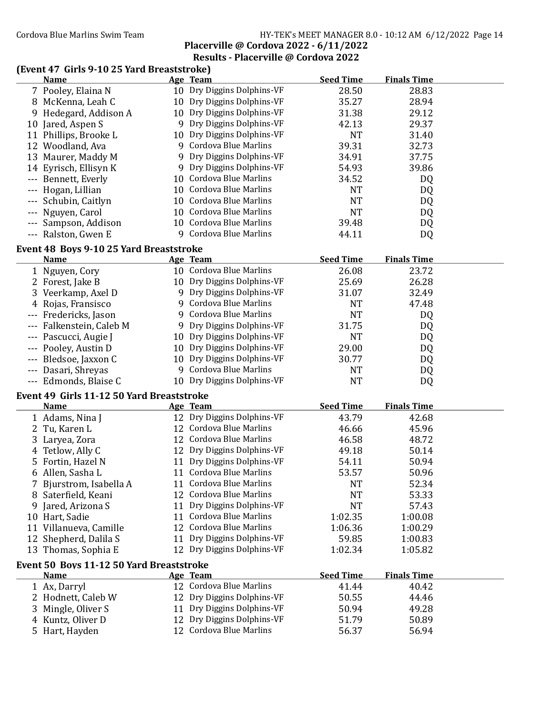### Cordova Blue Marlins Swim Team HY-TEK's MEET MANAGER 8.0 - 10:12 AM 6/12/2022 Page 14 Placerville @ Cordova 2022 - 6/11/2022

# Results - Placerville @ Cordova 2022

## (Event 47 Girls 9-10 25 Yard Breaststroke)

|   | <b>Name</b>                               |    | Age Team                    | <b>Seed Time</b> | <b>Finals Time</b> |  |
|---|-------------------------------------------|----|-----------------------------|------------------|--------------------|--|
|   | 7 Pooley, Elaina N                        |    | 10 Dry Diggins Dolphins-VF  | 28.50            | 28.83              |  |
|   | 8 McKenna, Leah C                         |    | 10 Dry Diggins Dolphins-VF  | 35.27            | 28.94              |  |
|   | 9 Hedegard, Addison A                     |    | 10 Dry Diggins Dolphins-VF  | 31.38            | 29.12              |  |
|   | 10 Jared, Aspen S                         |    | 9 Dry Diggins Dolphins-VF   | 42.13            | 29.37              |  |
|   | 11 Phillips, Brooke L                     |    | 10 Dry Diggins Dolphins-VF  | <b>NT</b>        | 31.40              |  |
|   | 12 Woodland, Ava                          |    | 9 Cordova Blue Marlins      | 39.31            | 32.73              |  |
|   | 13 Maurer, Maddy M                        |    | 9 Dry Diggins Dolphins-VF   | 34.91            | 37.75              |  |
|   | 14 Eyrisch, Ellisyn K                     |    | 9 Dry Diggins Dolphins-VF   | 54.93            | 39.86              |  |
|   | Bennett, Everly                           |    | 10 Cordova Blue Marlins     | 34.52            | DQ                 |  |
|   | Hogan, Lillian                            | 10 | <b>Cordova Blue Marlins</b> | <b>NT</b>        | DQ                 |  |
|   | Schubin, Caitlyn                          | 10 | <b>Cordova Blue Marlins</b> | <b>NT</b>        | DQ                 |  |
|   | Nguyen, Carol                             |    | 10 Cordova Blue Marlins     | <b>NT</b>        | DQ                 |  |
|   | Sampson, Addison                          |    | 10 Cordova Blue Marlins     | 39.48            | DQ                 |  |
|   | --- Ralston, Gwen E                       |    | 9 Cordova Blue Marlins      | 44.11            | DQ                 |  |
|   |                                           |    |                             |                  |                    |  |
|   | Event 48 Boys 9-10 25 Yard Breaststroke   |    |                             |                  |                    |  |
|   | Name                                      |    | Age Team                    | <b>Seed Time</b> | <b>Finals Time</b> |  |
|   | 1 Nguyen, Cory                            |    | 10 Cordova Blue Marlins     | 26.08            | 23.72              |  |
|   | 2 Forest, Jake B                          |    | 10 Dry Diggins Dolphins-VF  | 25.69            | 26.28              |  |
|   | 3 Veerkamp, Axel D                        |    | 9 Dry Diggins Dolphins-VF   | 31.07            | 32.49              |  |
|   | 4 Rojas, Fransisco                        |    | 9 Cordova Blue Marlins      | <b>NT</b>        | 47.48              |  |
|   | --- Fredericks, Jason                     |    | 9 Cordova Blue Marlins      | <b>NT</b>        | DQ                 |  |
|   | Falkenstein, Caleb M                      |    | 9 Dry Diggins Dolphins-VF   | 31.75            | DQ                 |  |
|   | Pascucci, Augie J                         |    | 10 Dry Diggins Dolphins-VF  | <b>NT</b>        | DQ                 |  |
|   | Pooley, Austin D                          |    | 10 Dry Diggins Dolphins-VF  | 29.00            | DQ                 |  |
|   | Bledsoe, Jaxxon C                         |    | 10 Dry Diggins Dolphins-VF  | 30.77            | DQ                 |  |
|   | Dasari, Shreyas                           |    | 9 Cordova Blue Marlins      | <b>NT</b>        | DQ                 |  |
|   | Edmonds, Blaise C                         |    | 10 Dry Diggins Dolphins-VF  | <b>NT</b>        | DQ                 |  |
|   | Event 49 Girls 11-12 50 Yard Breaststroke |    |                             |                  |                    |  |
|   | Name                                      |    | Age Team                    | <b>Seed Time</b> | <b>Finals Time</b> |  |
|   | 1 Adams, Nina J                           |    | 12 Dry Diggins Dolphins-VF  | 43.79            | 42.68              |  |
|   | 2 Tu, Karen L                             |    | 12 Cordova Blue Marlins     | 46.66            | 45.96              |  |
|   | 3 Laryea, Zora                            | 12 | <b>Cordova Blue Marlins</b> | 46.58            | 48.72              |  |
|   | 4 Tetlow, Ally C                          | 12 | Dry Diggins Dolphins-VF     | 49.18            | 50.14              |  |
|   | 5 Fortin, Hazel N                         | 11 | Dry Diggins Dolphins-VF     | 54.11            | 50.94              |  |
|   | 6 Allen, Sasha L                          |    | 11 Cordova Blue Marlins     | 53.57            | 50.96              |  |
|   | Bjurstrom, Isabella A                     |    | 11 Cordova Blue Marlins     | NT               | 52.34              |  |
|   | 8 Saterfield, Keani                       |    | 12 Cordova Blue Marlins     | <b>NT</b>        | 53.33              |  |
| 9 | Jared, Arizona S                          | 11 | Dry Diggins Dolphins-VF     | <b>NT</b>        | 57.43              |  |
|   | 10 Hart, Sadie                            | 11 | <b>Cordova Blue Marlins</b> | 1:02.35          | 1:00.08            |  |
|   | 11 Villanueva, Camille                    |    | 12 Cordova Blue Marlins     | 1:06.36          | 1:00.29            |  |
|   | 12 Shepherd, Dalila S                     |    | 11 Dry Diggins Dolphins-VF  | 59.85            | 1:00.83            |  |
|   | 13 Thomas, Sophia E                       |    | 12 Dry Diggins Dolphins-VF  | 1:02.34          | 1:05.82            |  |
|   | Event 50 Boys 11-12 50 Yard Breaststroke  |    |                             |                  |                    |  |
|   | <b>Name</b>                               |    | <u>Age Team</u>             | <b>Seed Time</b> | <b>Finals Time</b> |  |
|   | 1 Ax, Darryl                              |    | 12 Cordova Blue Marlins     | 41.44            | 40.42              |  |
|   | 2 Hodnett, Caleb W                        | 12 | Dry Diggins Dolphins-VF     | 50.55            | 44.46              |  |
| 3 | Mingle, Oliver S                          | 11 | Dry Diggins Dolphins-VF     | 50.94            | 49.28              |  |
|   | 4 Kuntz, Oliver D                         | 12 | Dry Diggins Dolphins-VF     | 51.79            | 50.89              |  |
|   | 5 Hart, Hayden                            |    | 12 Cordova Blue Marlins     | 56.37            | 56.94              |  |
|   |                                           |    |                             |                  |                    |  |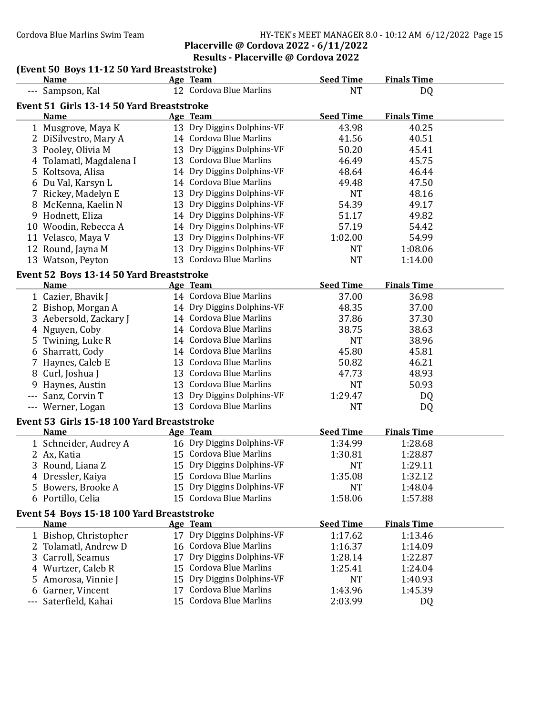## Cordova Blue Marlins Swim Team HY-TEK's MEET MANAGER 8.0 - 10:12 AM 6/12/2022 Page 15

## Placerville @ Cordova 2022 - 6/11/2022 Results - Placerville @ Cordova 2022

### (Event 50 Boys 11-12 50 Yard Breaststroke)

| <b>Name</b>                                | Age Team                   | <b>Seed Time</b> | <b>Finals Time</b> |  |
|--------------------------------------------|----------------------------|------------------|--------------------|--|
| --- Sampson, Kal                           | 12 Cordova Blue Marlins    | <b>NT</b>        | DQ                 |  |
| Event 51 Girls 13-14 50 Yard Breaststroke  |                            |                  |                    |  |
| <b>Name</b>                                | Age Team                   | <b>Seed Time</b> | <b>Finals Time</b> |  |
| 1 Musgrove, Maya K                         | 13 Dry Diggins Dolphins-VF | 43.98            | 40.25              |  |
| 2 DiSilvestro, Mary A                      | 14 Cordova Blue Marlins    | 41.56            | 40.51              |  |
| 3 Pooley, Olivia M                         | 13 Dry Diggins Dolphins-VF | 50.20            | 45.41              |  |
| 4 Tolamatl, Magdalena I                    | 13 Cordova Blue Marlins    | 46.49            | 45.75              |  |
| 5 Koltsova, Alisa                          | 14 Dry Diggins Dolphins-VF | 48.64            | 46.44              |  |
| 6 Du Val, Karsyn L                         | 14 Cordova Blue Marlins    | 49.48            | 47.50              |  |
| 7 Rickey, Madelyn E                        | 13 Dry Diggins Dolphins-VF | <b>NT</b>        | 48.16              |  |
| 8 McKenna, Kaelin N                        | 13 Dry Diggins Dolphins-VF | 54.39            | 49.17              |  |
| 9 Hodnett, Eliza                           | 14 Dry Diggins Dolphins-VF | 51.17            | 49.82              |  |
| 10 Woodin, Rebecca A                       | 14 Dry Diggins Dolphins-VF | 57.19            | 54.42              |  |
| 11 Velasco, Maya V                         | 13 Dry Diggins Dolphins-VF | 1:02.00          | 54.99              |  |
| 12 Round, Jayna M                          | 13 Dry Diggins Dolphins-VF | <b>NT</b>        | 1:08.06            |  |
| 13 Watson, Peyton                          | 13 Cordova Blue Marlins    | <b>NT</b>        | 1:14.00            |  |
| Event 52 Boys 13-14 50 Yard Breaststroke   |                            |                  |                    |  |
| <b>Name</b>                                | Age Team                   | <b>Seed Time</b> | <b>Finals Time</b> |  |
| 1 Cazier, Bhavik J                         | 14 Cordova Blue Marlins    | 37.00            | 36.98              |  |
| 2 Bishop, Morgan A                         | 14 Dry Diggins Dolphins-VF | 48.35            | 37.00              |  |
| 3 Aebersold, Zackary J                     | 14 Cordova Blue Marlins    | 37.86            | 37.30              |  |
| 4 Nguyen, Coby                             | 14 Cordova Blue Marlins    | 38.75            | 38.63              |  |
| 5 Twining, Luke R                          | 14 Cordova Blue Marlins    | <b>NT</b>        | 38.96              |  |
| 6 Sharratt, Cody                           | 14 Cordova Blue Marlins    | 45.80            | 45.81              |  |
| 7 Haynes, Caleb E                          | 13 Cordova Blue Marlins    | 50.82            | 46.21              |  |
| 8 Curl, Joshua J                           | 13 Cordova Blue Marlins    | 47.73            | 48.93              |  |
| 9 Haynes, Austin                           | 13 Cordova Blue Marlins    | <b>NT</b>        | 50.93              |  |
| --- Sanz, Corvin T                         | 13 Dry Diggins Dolphins-VF | 1:29.47          | DQ                 |  |
| --- Werner, Logan                          | 13 Cordova Blue Marlins    | <b>NT</b>        | DQ                 |  |
| Event 53 Girls 15-18 100 Yard Breaststroke |                            |                  |                    |  |
| <b>Name</b>                                | Age Team                   | <b>Seed Time</b> | <b>Finals Time</b> |  |
| 1 Schneider, Audrey A                      | 16 Dry Diggins Dolphins-VF | 1:34.99          | 1:28.68            |  |
| 2 Ax, Katia                                | 15 Cordova Blue Marlins    | 1:30.81          | 1:28.87            |  |
| 3 Round, Liana Z                           | 15 Dry Diggins Dolphins-VF | <b>NT</b>        | 1:29.11            |  |
| 4 Dressler, Kaiya                          | 15 Cordova Blue Marlins    | 1:35.08          | 1:32.12            |  |
| 5 Bowers, Brooke A                         | 15 Dry Diggins Dolphins-VF | <b>NT</b>        | 1:48.04            |  |
| 6 Portillo, Celia                          | 15 Cordova Blue Marlins    | 1:58.06          | 1:57.88            |  |
| Event 54 Boys 15-18 100 Yard Breaststroke  |                            |                  |                    |  |
| <b>Name</b>                                | Age Team                   | <b>Seed Time</b> | <b>Finals Time</b> |  |
| 1 Bishop, Christopher                      | 17 Dry Diggins Dolphins-VF | 1:17.62          | 1:13.46            |  |
| 2 Tolamatl, Andrew D                       | 16 Cordova Blue Marlins    | 1:16.37          | 1:14.09            |  |
| 3 Carroll, Seamus                          | 17 Dry Diggins Dolphins-VF | 1:28.14          | 1:22.87            |  |
| 4 Wurtzer, Caleb R                         | 15 Cordova Blue Marlins    | 1:25.41          | 1:24.04            |  |
| 5 Amorosa, Vinnie J                        | 15 Dry Diggins Dolphins-VF | NT               | 1:40.93            |  |
| 6 Garner, Vincent                          | 17 Cordova Blue Marlins    | 1:43.96          | 1:45.39            |  |
| --- Saterfield, Kahai                      | 15 Cordova Blue Marlins    | 2:03.99          | DQ                 |  |
|                                            |                            |                  |                    |  |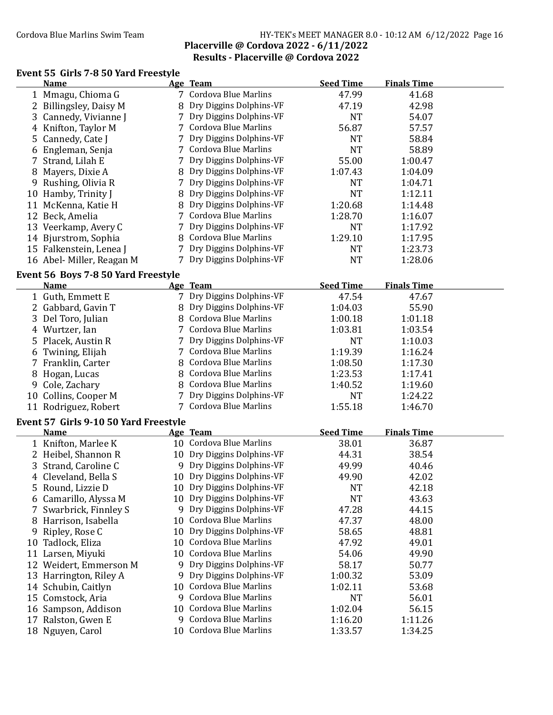### Cordova Blue Marlins Swim Team HY-TEK's MEET MANAGER 8.0 - 10:12 AM 6/12/2022 Page 16 Placerville @ Cordova 2022 - 6/11/2022 Results - Placerville @ Cordova 2022

### Event 55 Girls 7-8 50 Yard Freestyle

|    | <b>Name</b>                                          |     | Age Team                                           | <b>Seed Time</b>   | <b>Finals Time</b> |  |
|----|------------------------------------------------------|-----|----------------------------------------------------|--------------------|--------------------|--|
|    | 1 Mmagu, Chioma G                                    |     | 7 Cordova Blue Marlins                             | 47.99              | 41.68              |  |
|    | 2 Billingsley, Daisy M                               |     | Dry Diggins Dolphins-VF                            | 47.19              | 42.98              |  |
|    | 3 Cannedy, Vivianne J                                |     | Dry Diggins Dolphins-VF                            | <b>NT</b>          | 54.07              |  |
|    | 4 Knifton, Taylor M                                  |     | 7 Cordova Blue Marlins                             | 56.87              | 57.57              |  |
|    | 5 Cannedy, Cate J                                    | 7   | Dry Diggins Dolphins-VF                            | <b>NT</b>          | 58.84              |  |
| 6  | Engleman, Senja                                      |     | 7 Cordova Blue Marlins                             | <b>NT</b>          | 58.89              |  |
|    | 7 Strand, Lilah E                                    | 7   | Dry Diggins Dolphins-VF                            | 55.00              | 1:00.47            |  |
| 8  | Mayers, Dixie A                                      | 8   | Dry Diggins Dolphins-VF                            | 1:07.43            | 1:04.09            |  |
| 9  | Rushing, Olivia R                                    | 7   | Dry Diggins Dolphins-VF                            | <b>NT</b>          | 1:04.71            |  |
|    | 10 Hamby, Trinity J                                  | 8   | Dry Diggins Dolphins-VF                            | <b>NT</b>          | 1:12.11            |  |
|    | 11 McKenna, Katie H                                  | 8   | Dry Diggins Dolphins-VF                            | 1:20.68            | 1:14.48            |  |
|    | 12 Beck, Amelia                                      | 7   | <b>Cordova Blue Marlins</b>                        | 1:28.70            | 1:16.07            |  |
|    | 13 Veerkamp, Avery C                                 | 7   | Dry Diggins Dolphins-VF                            | <b>NT</b>          | 1:17.92            |  |
|    | 14 Bjurstrom, Sophia                                 | 8   | Cordova Blue Marlins                               | 1:29.10            | 1:17.95            |  |
|    | 15 Falkenstein, Lenea J                              | 7   | Dry Diggins Dolphins-VF                            | <b>NT</b>          | 1:23.73            |  |
|    | 16 Abel-Miller, Reagan M                             | 7   | Dry Diggins Dolphins-VF                            | <b>NT</b>          | 1:28.06            |  |
|    | Event 56 Boys 7-8 50 Yard Freestyle                  |     |                                                    |                    |                    |  |
|    | Name                                                 |     | Age Team                                           | <b>Seed Time</b>   | <b>Finals Time</b> |  |
|    | 1 Guth, Emmett E                                     |     | 7 Dry Diggins Dolphins-VF                          | 47.54              | 47.67              |  |
|    | 2 Gabbard, Gavin T                                   | 8   | Dry Diggins Dolphins-VF                            | 1:04.03            | 55.90              |  |
|    | 3 Del Toro, Julian                                   |     | 8 Cordova Blue Marlins                             | 1:00.18            | 1:01.18            |  |
|    | 4 Wurtzer, Ian                                       |     | 7 Cordova Blue Marlins                             | 1:03.81            | 1:03.54            |  |
|    | 5 Placek, Austin R                                   |     | 7 Dry Diggins Dolphins-VF                          | <b>NT</b>          | 1:10.03            |  |
|    | 6 Twining, Elijah                                    | 7   | <b>Cordova Blue Marlins</b>                        | 1:19.39            | 1:16.24            |  |
|    | 7 Franklin, Carter                                   | 8   | <b>Cordova Blue Marlins</b>                        | 1:08.50            | 1:17.30            |  |
|    | 8 Hogan, Lucas                                       | 8   | <b>Cordova Blue Marlins</b>                        | 1:23.53            | 1:17.41            |  |
|    | 9 Cole, Zachary                                      | 8   | Cordova Blue Marlins                               | 1:40.52            | 1:19.60            |  |
|    | 10 Collins, Cooper M                                 |     | Dry Diggins Dolphins-VF                            | <b>NT</b>          | 1:24.22            |  |
|    | 11 Rodriguez, Robert                                 |     | 7 Cordova Blue Marlins                             | 1:55.18            | 1:46.70            |  |
|    |                                                      |     |                                                    |                    |                    |  |
|    | Event 57 Girls 9-10 50 Yard Freestyle<br><b>Name</b> |     |                                                    | <b>Seed Time</b>   | <b>Finals Time</b> |  |
|    | 1 Knifton, Marlee K                                  |     | Age Team<br>10 Cordova Blue Marlins                | 38.01              | 36.87              |  |
|    | 2 Heibel, Shannon R                                  |     | 10 Dry Diggins Dolphins-VF                         | 44.31              | 38.54              |  |
|    | 3 Strand, Caroline C                                 |     | 9 Dry Diggins Dolphins-VF                          | 49.99              | 40.46              |  |
|    | 4 Cleveland, Bella S                                 |     | 10 Dry Diggins Dolphins-VF                         | 49.90              | 42.02              |  |
|    | 5 Round, Lizzie D                                    |     | 10 Dry Diggins Dolphins-VF                         | <b>NT</b>          | 42.18              |  |
|    | 6 Camarillo, Alyssa M                                |     | 10 Dry Diggins Dolphins-VF                         | <b>NT</b>          | 43.63              |  |
|    | 7 Swarbrick, Finnley S                               | 9   | Dry Diggins Dolphins-VF                            | 47.28              | 44.15              |  |
| 8  | Harrison, Isabella                                   |     | 10 Cordova Blue Marlins                            | 47.37              | 48.00              |  |
|    |                                                      | 10  | Dry Diggins Dolphins-VF                            | 58.65              | 48.81              |  |
| 9  | Ripley, Rose C<br>Tadlock, Eliza                     | 10  | <b>Cordova Blue Marlins</b>                        |                    | 49.01              |  |
| 10 |                                                      | 10  | <b>Cordova Blue Marlins</b>                        | 47.92              |                    |  |
| 11 | Larsen, Miyuki                                       |     | Dry Diggins Dolphins-VF                            | 54.06              | 49.90              |  |
|    | 12 Weidert, Emmerson M                               | 9   |                                                    | 58.17              | 50.77              |  |
|    | 13 Harrington, Riley A                               | 9.  | Dry Diggins Dolphins-VF<br>10 Cordova Blue Marlins | 1:00.32            | 53.09              |  |
|    | 14 Schubin, Caitlyn                                  | 9   | <b>Cordova Blue Marlins</b>                        | 1:02.11            | 53.68              |  |
|    | 15 Comstock, Aria                                    | 10. | <b>Cordova Blue Marlins</b>                        | <b>NT</b>          | 56.01              |  |
|    | 16 Sampson, Addison                                  | 9.  | Cordova Blue Marlins                               | 1:02.04<br>1:16.20 | 56.15<br>1:11.26   |  |
|    | 17 Ralston, Gwen E                                   |     | 10 Cordova Blue Marlins                            |                    |                    |  |
|    | 18 Nguyen, Carol                                     |     |                                                    | 1:33.57            | 1:34.25            |  |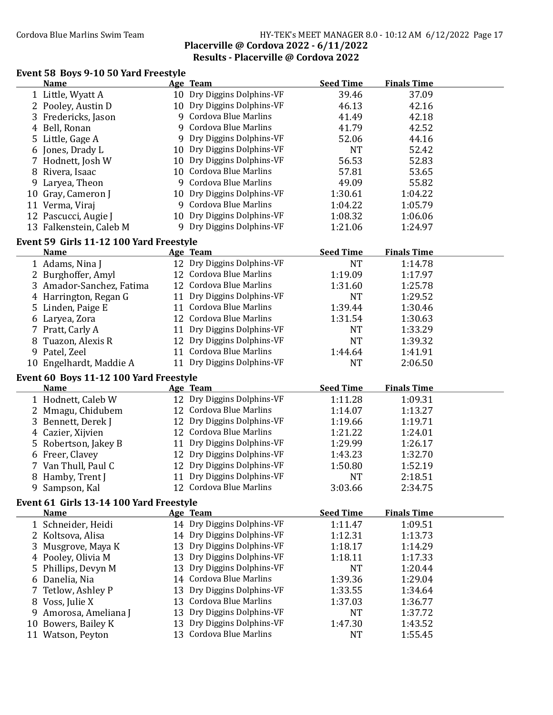### Cordova Blue Marlins Swim Team HY-TEK's MEET MANAGER 8.0 - 10:12 AM 6/12/2022 Page 17 Placerville @ Cordova 2022 - 6/11/2022 Results - Placerville @ Cordova 2022

## Event 58 Boys 9-10 50 Yard Freestyle

|    | <b>Name</b>                             |    | Age Team                   | <b>Seed Time</b> | <b>Finals Time</b> |  |
|----|-----------------------------------------|----|----------------------------|------------------|--------------------|--|
|    | 1 Little, Wyatt A                       |    | 10 Dry Diggins Dolphins-VF | 39.46            | 37.09              |  |
|    | 2 Pooley, Austin D                      |    | 10 Dry Diggins Dolphins-VF | 46.13            | 42.16              |  |
|    | 3 Fredericks, Jason                     |    | 9 Cordova Blue Marlins     | 41.49            | 42.18              |  |
|    | 4 Bell, Ronan                           |    | 9 Cordova Blue Marlins     | 41.79            | 42.52              |  |
|    | 5 Little, Gage A                        |    | 9 Dry Diggins Dolphins-VF  | 52.06            | 44.16              |  |
|    | 6 Jones, Drady L                        |    | 10 Dry Diggins Dolphins-VF | <b>NT</b>        | 52.42              |  |
|    | 7 Hodnett, Josh W                       |    | 10 Dry Diggins Dolphins-VF | 56.53            | 52.83              |  |
| 8  | Rivera, Isaac                           |    | 10 Cordova Blue Marlins    | 57.81            | 53.65              |  |
|    | 9 Laryea, Theon                         |    | 9 Cordova Blue Marlins     | 49.09            | 55.82              |  |
|    | 10 Gray, Cameron J                      |    | 10 Dry Diggins Dolphins-VF | 1:30.61          | 1:04.22            |  |
|    | 11 Verma, Viraj                         |    | 9 Cordova Blue Marlins     | 1:04.22          | 1:05.79            |  |
|    | 12 Pascucci, Augie J                    |    | 10 Dry Diggins Dolphins-VF | 1:08.32          | 1:06.06            |  |
|    | 13 Falkenstein, Caleb M                 |    | 9 Dry Diggins Dolphins-VF  | 1:21.06          | 1:24.97            |  |
|    |                                         |    |                            |                  |                    |  |
|    | Event 59 Girls 11-12 100 Yard Freestyle |    |                            |                  |                    |  |
|    | <b>Name</b>                             |    | Age Team                   | <b>Seed Time</b> | <b>Finals Time</b> |  |
|    | 1 Adams, Nina J                         |    | 12 Dry Diggins Dolphins-VF | <b>NT</b>        | 1:14.78            |  |
|    | 2 Burghoffer, Amyl                      |    | 12 Cordova Blue Marlins    | 1:19.09          | 1:17.97            |  |
|    | 3 Amador-Sanchez, Fatima                |    | 12 Cordova Blue Marlins    | 1:31.60          | 1:25.78            |  |
|    | 4 Harrington, Regan G                   |    | 11 Dry Diggins Dolphins-VF | <b>NT</b>        | 1:29.52            |  |
|    | 5 Linden, Paige E                       |    | 11 Cordova Blue Marlins    | 1:39.44          | 1:30.46            |  |
|    | 6 Laryea, Zora                          |    | 12 Cordova Blue Marlins    | 1:31.54          | 1:30.63            |  |
|    | 7 Pratt, Carly A                        |    | 11 Dry Diggins Dolphins-VF | <b>NT</b>        | 1:33.29            |  |
| 8  | Tuazon, Alexis R                        |    | 12 Dry Diggins Dolphins-VF | <b>NT</b>        | 1:39.32            |  |
|    | 9 Patel, Zeel                           |    | 11 Cordova Blue Marlins    | 1:44.64          | 1:41.91            |  |
|    | 10 Engelhardt, Maddie A                 |    | 11 Dry Diggins Dolphins-VF | <b>NT</b>        | 2:06.50            |  |
|    | Event 60 Boys 11-12 100 Yard Freestyle  |    |                            |                  |                    |  |
|    | <b>Name</b>                             |    | Age Team                   | <b>Seed Time</b> | <b>Finals Time</b> |  |
|    | 1 Hodnett, Caleb W                      |    | 12 Dry Diggins Dolphins-VF | 1:11.28          | 1:09.31            |  |
|    | 2 Mmagu, Chidubem                       |    | 12 Cordova Blue Marlins    | 1:14.07          | 1:13.27            |  |
|    | 3 Bennett, Derek J                      |    | 12 Dry Diggins Dolphins-VF | 1:19.66          | 1:19.71            |  |
|    | 4 Cazier, Xijvien                       |    | 12 Cordova Blue Marlins    | 1:21.22          | 1:24.01            |  |
|    | 5 Robertson, Jakey B                    |    | 11 Dry Diggins Dolphins-VF | 1:29.99          | 1:26.17            |  |
|    |                                         |    | 12 Dry Diggins Dolphins-VF |                  |                    |  |
|    | 6 Freer, Clavey                         |    | 12 Dry Diggins Dolphins-VF | 1:43.23          | 1:32.70            |  |
|    | 7 Van Thull, Paul C                     |    | 11 Dry Diggins Dolphins-VF | 1:50.80          | 1:52.19            |  |
|    | 8 Hamby, Trent J                        |    |                            | <b>NT</b>        | 2:18.51            |  |
| 9  | Sampson, Kal                            |    | 12 Cordova Blue Marlins    | 3:03.66          | 2:34.75            |  |
|    | Event 61 Girls 13-14 100 Yard Freestyle |    |                            |                  |                    |  |
|    | <b>Name</b>                             |    | Age Team                   | <b>Seed Time</b> | <b>Finals Time</b> |  |
|    | 1 Schneider, Heidi                      |    | 14 Dry Diggins Dolphins-VF | 1:11.47          | 1:09.51            |  |
|    | 2 Koltsova, Alisa                       |    | 14 Dry Diggins Dolphins-VF | 1:12.31          | 1:13.73            |  |
|    | Musgrove, Maya K                        | 13 | Dry Diggins Dolphins-VF    | 1:18.17          | 1:14.29            |  |
|    | 4 Pooley, Olivia M                      | 13 | Dry Diggins Dolphins-VF    | 1:18.11          | 1:17.33            |  |
|    | 5 Phillips, Devyn M                     | 13 | Dry Diggins Dolphins-VF    | <b>NT</b>        | 1:20.44            |  |
|    | 6 Danelia, Nia                          |    | 14 Cordova Blue Marlins    | 1:39.36          | 1:29.04            |  |
|    | Tetlow, Ashley P                        | 13 | Dry Diggins Dolphins-VF    | 1:33.55          | 1:34.64            |  |
| 8  | Voss, Julie X                           | 13 | Cordova Blue Marlins       | 1:37.03          | 1:36.77            |  |
| 9  | Amorosa, Ameliana J                     | 13 | Dry Diggins Dolphins-VF    | <b>NT</b>        | 1:37.72            |  |
| 10 | Bowers, Bailey K                        | 13 | Dry Diggins Dolphins-VF    | 1:47.30          | 1:43.52            |  |
|    | 11 Watson, Peyton                       |    | 13 Cordova Blue Marlins    | <b>NT</b>        | 1:55.45            |  |
|    |                                         |    |                            |                  |                    |  |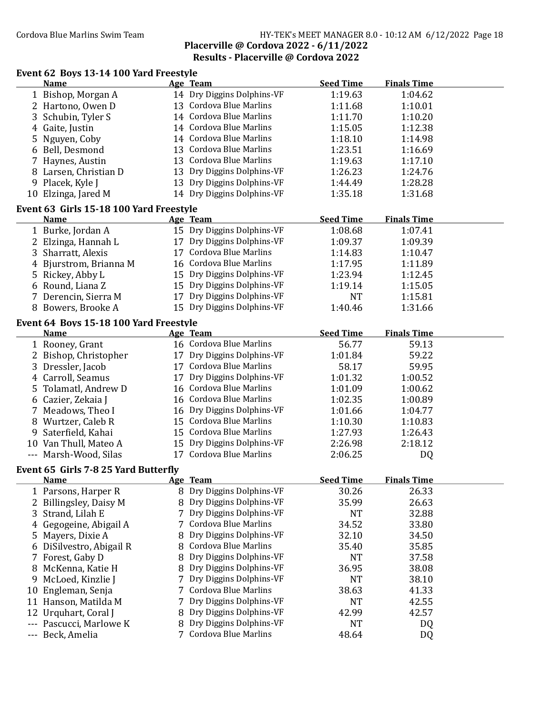### Cordova Blue Marlins Swim Team HY-TEK's MEET MANAGER 8.0 - 10:12 AM 6/12/2022 Page 18 Placerville @ Cordova 2022 - 6/11/2022 Results - Placerville @ Cordova 2022

## Event 62 Boys 13-14 100 Yard Freestyle

|    | Event 02 Doys 15-14 Too Taru Freestyle<br><b>Name</b>  |   | Age Team                    | <b>Seed Time</b> | <b>Finals Time</b> |  |
|----|--------------------------------------------------------|---|-----------------------------|------------------|--------------------|--|
|    | 1 Bishop, Morgan A                                     |   | 14 Dry Diggins Dolphins-VF  | 1:19.63          | 1:04.62            |  |
|    | 2 Hartono, Owen D                                      |   | 13 Cordova Blue Marlins     | 1:11.68          | 1:10.01            |  |
|    | 3 Schubin, Tyler S                                     |   | 14 Cordova Blue Marlins     | 1:11.70          | 1:10.20            |  |
|    | 4 Gaite, Justin                                        |   | 14 Cordova Blue Marlins     | 1:15.05          | 1:12.38            |  |
|    | 5 Nguyen, Coby                                         |   | 14 Cordova Blue Marlins     | 1:18.10          | 1:14.98            |  |
|    | 6 Bell, Desmond                                        |   | 13 Cordova Blue Marlins     | 1:23.51          | 1:16.69            |  |
|    | 7 Haynes, Austin                                       |   | 13 Cordova Blue Marlins     | 1:19.63          | 1:17.10            |  |
|    | 8 Larsen, Christian D                                  |   | 13 Dry Diggins Dolphins-VF  | 1:26.23          | 1:24.76            |  |
|    | 9 Placek, Kyle J                                       |   | 13 Dry Diggins Dolphins-VF  | 1:44.49          | 1:28.28            |  |
|    | 10 Elzinga, Jared M                                    |   | 14 Dry Diggins Dolphins-VF  | 1:35.18          | 1:31.68            |  |
|    |                                                        |   |                             |                  |                    |  |
|    | Event 63 Girls 15-18 100 Yard Freestyle<br><b>Name</b> |   | Age Team                    | <b>Seed Time</b> | <b>Finals Time</b> |  |
|    | 1 Burke, Jordan A                                      |   | 15 Dry Diggins Dolphins-VF  | 1:08.68          | 1:07.41            |  |
|    | 2 Elzinga, Hannah L                                    |   | 17 Dry Diggins Dolphins-VF  | 1:09.37          | 1:09.39            |  |
|    | 3 Sharratt, Alexis                                     |   | 17 Cordova Blue Marlins     | 1:14.83          | 1:10.47            |  |
|    | 4 Bjurstrom, Brianna M                                 |   | 16 Cordova Blue Marlins     | 1:17.95          | 1:11.89            |  |
|    | 5 Rickey, Abby L                                       |   | 15 Dry Diggins Dolphins-VF  | 1:23.94          | 1:12.45            |  |
|    | 6 Round, Liana Z                                       |   | 15 Dry Diggins Dolphins-VF  | 1:19.14          | 1:15.05            |  |
|    | 7 Derencin, Sierra M                                   |   | 17 Dry Diggins Dolphins-VF  | <b>NT</b>        | 1:15.81            |  |
|    | 8 Bowers, Brooke A                                     |   | 15 Dry Diggins Dolphins-VF  | 1:40.46          | 1:31.66            |  |
|    |                                                        |   |                             |                  |                    |  |
|    | Event 64 Boys 15-18 100 Yard Freestyle                 |   |                             |                  |                    |  |
|    | <b>Name</b>                                            |   | Age Team                    | <b>Seed Time</b> | <b>Finals Time</b> |  |
|    | 1 Rooney, Grant                                        |   | 16 Cordova Blue Marlins     | 56.77            | 59.13              |  |
|    | 2 Bishop, Christopher                                  |   | 17 Dry Diggins Dolphins-VF  | 1:01.84          | 59.22              |  |
|    | 3 Dressler, Jacob                                      |   | 17 Cordova Blue Marlins     | 58.17            | 59.95              |  |
|    | 4 Carroll, Seamus                                      |   | 17 Dry Diggins Dolphins-VF  | 1:01.32          | 1:00.52            |  |
|    | 5 Tolamatl, Andrew D                                   |   | 16 Cordova Blue Marlins     | 1:01.09          | 1:00.62            |  |
|    | 6 Cazier, Zekaia J                                     |   | 16 Cordova Blue Marlins     | 1:02.35          | 1:00.89            |  |
|    | 7 Meadows, Theo I                                      |   | 16 Dry Diggins Dolphins-VF  | 1:01.66          | 1:04.77            |  |
|    | 8 Wurtzer, Caleb R                                     |   | 15 Cordova Blue Marlins     | 1:10.30          | 1:10.83            |  |
|    | 9 Saterfield, Kahai                                    |   | 15 Cordova Blue Marlins     | 1:27.93          | 1:26.43            |  |
|    | 10 Van Thull, Mateo A                                  |   | 15 Dry Diggins Dolphins-VF  | 2:26.98          | 2:18.12            |  |
|    | --- Marsh-Wood, Silas                                  |   | 17 Cordova Blue Marlins     | 2:06.25          | DQ                 |  |
|    | Event 65 Girls 7-8 25 Yard Butterfly                   |   |                             |                  |                    |  |
|    | <b>Name</b>                                            |   | Age Team                    | <b>Seed Time</b> | <b>Finals Time</b> |  |
|    | 1 Parsons, Harper R                                    |   | 8 Dry Diggins Dolphins-VF   | 30.26            | 26.33              |  |
|    | 2 Billingsley, Daisy M                                 |   | 8 Dry Diggins Dolphins-VF   | 35.99            | 26.63              |  |
| 3  | Strand, Lilah E                                        | 7 | Dry Diggins Dolphins-VF     | <b>NT</b>        | 32.88              |  |
| 4  | Gegogeine, Abigail A                                   |   | <b>Cordova Blue Marlins</b> | 34.52            | 33.80              |  |
| 5  | Mayers, Dixie A                                        |   | Dry Diggins Dolphins-VF     | 32.10            | 34.50              |  |
| 6  | DiSilvestro, Abigail R                                 | 8 | Cordova Blue Marlins        | 35.40            | 35.85              |  |
|    | 7 Forest, Gaby D                                       |   | Dry Diggins Dolphins-VF     | <b>NT</b>        | 37.58              |  |
| 8  | McKenna, Katie H                                       |   | Dry Diggins Dolphins-VF     | 36.95            | 38.08              |  |
| 9  | McLoed, Kinzlie J                                      |   | Dry Diggins Dolphins-VF     | <b>NT</b>        | 38.10              |  |
| 10 | Engleman, Senja                                        |   | <b>Cordova Blue Marlins</b> | 38.63            | 41.33              |  |
|    | 11 Hanson, Matilda M                                   |   | Dry Diggins Dolphins-VF     | <b>NT</b>        | 42.55              |  |
| 12 | Urquhart, Coral J                                      |   | Dry Diggins Dolphins-VF     | 42.99            | 42.57              |  |
|    | Pascucci, Marlowe K                                    |   | Dry Diggins Dolphins-VF     | <b>NT</b>        | DQ                 |  |
|    | Beck, Amelia                                           |   | 7 Cordova Blue Marlins      | 48.64            | DQ                 |  |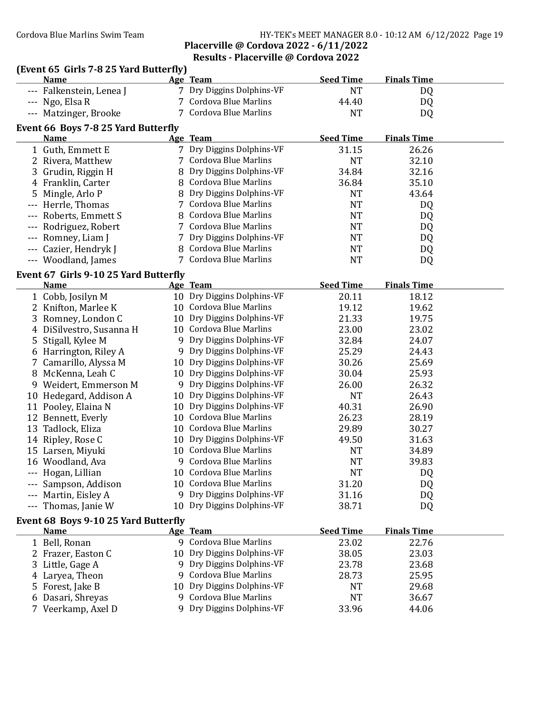### Cordova Blue Marlins Swim Team HY-TEK's MEET MANAGER 8.0 - 10:12 AM 6/12/2022 Page 19 Placerville @ Cordova 2022 - 6/11/2022 Results - Placerville @ Cordova 2022

### (Event 65 Girls 7-8 25 Yard Butterϐly) Name Age Team Seed Time Finals Time --- Falkenstein, Lenea J 7 Dry Diggins Dolphins-VF NT NT DQ --- Ngo, Elsa R 7 Cordova Blue Marlins 44.40 DQ --- Matzinger, Brooke 7 Cordova Blue Marlins 7 (2012) NT 2009 Event 66 Boys 7-8 25 Yard Butterfly Name Age Team Seed Time Finals Time 1 Guth, Emmett E 7 Dry Diggins Dolphins-VF 31.15 26.26 2 Rivera, Matthew 7 Cordova Blue Marlins NT 32.10 3 Grudin, Riggin H 8 Dry Diggins Dolphins-VF 34.84 32.16 4 Franklin, Carter 8 Cordova Blue Marlins 36.84 35.10 5 Mingle, Arlo P 8 Dry Diggins Dolphins-VF 19 NT 43.64<br>
-- Herrle. Thomas 7 Cordova Blue Marlins NT 100 --- Herrle, Thomas 7 Cordova Blue Marlins NT DQ --- Roberts, Emmett S 8 Cordova Blue Marlins NT DQ --- Rodriguez, Robert 7 Cordova Blue Marlins NT NT DQ --- Romney, Liam J 7 Dry Diggins Dolphins-VF NT NT DQ --- Cazier, Hendryk J 8 Cordova Blue Marlins NT DQ --- Woodland, James 7 Cordova Blue Marlins NT DQ Event 67 Girls 9-10 25 Yard Butterfly Name Age Team Seed Time Finals Time 1 Cobb, Josilyn M 10 Dry Diggins Dolphins-VF 20.11 18.12 2 Knifton, Marlee K 10 Cordova Blue Marlins 19.12 19.62 3 Romney, London C 10 Dry Diggins Dolphins-VF 21.33 19.75 4 DiSilvestro, Susanna H 10 Cordova Blue Marlins 23.00 23.02 5 Stigall, Kylee M 9 Dry Diggins Dolphins-VF 32.84 24.07 6 Harrington, Riley A 9 Dry Diggins Dolphins-VF 25.29 24.43 7 Camarillo, Alyssa M 10 Dry Diggins Dolphins-VF 30.26 25.69 8 McKenna, Leah C 10 Dry Diggins Dolphins-VF 30.04 25.93 9 Weidert, Emmerson M 9 Dry Diggins Dolphins-VF 26.00 26.32 10 Hedegard, Addison A 10 Dry Diggins Dolphins-VF NT 26.43 11 Pooley, Elaina N 10 Dry Diggins Dolphins-VF 40.31 26.90 12 Bennett, Everly 10 Cordova Blue Marlins 26.23 28.19 13 Tadlock, Eliza 10 Cordova Blue Marlins 29.89 30.27 14 Ripley, Rose C 10 Dry Diggins Dolphins-VF 49.50 31.63 15 Larsen, Miyuki 10 Cordova Blue Marlins NT 34.89 16 Woodland, Ava 9 Cordova Blue Marlins NT 39.83 --- Hogan, Lillian 10 Cordova Blue Marlins NT DQ --- Sampson, Addison 10 Cordova Blue Marlins 31.20 DQ --- Martin, Eisley A 9 Dry Diggins Dolphins-VF 31.16 DQ --- Thomas, Janie W 10 Dry Diggins Dolphins-VF 38.71 DQ Event 68 Boys 9-10 25 Yard Butterfly Name **Age Team** Seed Time Finals Time 1 Bell, Ronan 9 Cordova Blue Marlins 23.02 22.76

| <b>Name</b>        | Age Team                   | <b>Seed Time</b> | <b>Finals Time</b> |  |
|--------------------|----------------------------|------------------|--------------------|--|
| 1 Bell, Ronan      | 9 Cordova Blue Marlins     | 23.02            | 22.76              |  |
| 2 Frazer, Easton C | 10 Dry Diggins Dolphins-VF | 38.05            | 23.03              |  |
| 3 Little, Gage A   | 9 Dry Diggins Dolphins-VF  | 23.78            | 23.68              |  |
| 4 Laryea, Theon    | 9 Cordova Blue Marlins     | 28.73            | 25.95              |  |
| 5 Forest, Jake B   | 10 Dry Diggins Dolphins-VF | <b>NT</b>        | 29.68              |  |
| 6 Dasari, Shreyas  | 9 Cordova Blue Marlins     | <b>NT</b>        | 36.67              |  |
| Veerkamp, Axel D   | 9 Dry Diggins Dolphins-VF  | 33.96            | 44.06              |  |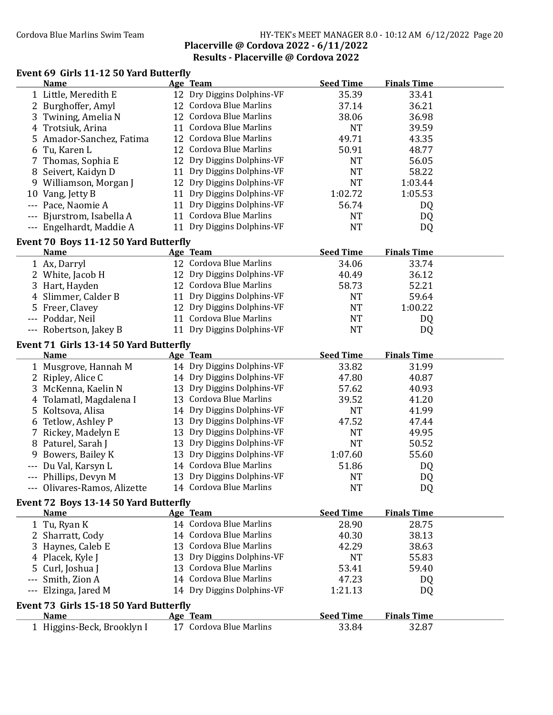### Cordova Blue Marlins Swim Team HY-TEK's MEET MANAGER 8.0 - 10:12 AM 6/12/2022 Page 20 Placerville @ Cordova 2022 - 6/11/2022 Results - Placerville @ Cordova 2022

## Event 69 Girls 11-12 50 Yard Butterfly

|     | <b>Name</b>                            |    | Age Team                                                 | <b>Seed Time</b> | <b>Finals Time</b> |  |  |
|-----|----------------------------------------|----|----------------------------------------------------------|------------------|--------------------|--|--|
|     | 1 Little, Meredith E                   |    | 12 Dry Diggins Dolphins-VF                               | 35.39            | 33.41              |  |  |
|     | 2 Burghoffer, Amyl                     |    | 12 Cordova Blue Marlins                                  | 37.14            | 36.21              |  |  |
|     | 3 Twining, Amelia N                    |    | 12 Cordova Blue Marlins                                  | 38.06            | 36.98              |  |  |
|     | 4 Trotsiuk, Arina                      |    | 11 Cordova Blue Marlins                                  | <b>NT</b>        | 39.59              |  |  |
|     | 5 Amador-Sanchez, Fatima               |    | 12 Cordova Blue Marlins                                  | 49.71            | 43.35              |  |  |
|     | 6 Tu, Karen L                          |    | 12 Cordova Blue Marlins                                  | 50.91            | 48.77              |  |  |
|     | 7 Thomas, Sophia E                     |    | 12 Dry Diggins Dolphins-VF                               | <b>NT</b>        | 56.05              |  |  |
|     | 8 Seivert, Kaidyn D                    | 11 | Dry Diggins Dolphins-VF                                  | <b>NT</b>        | 58.22              |  |  |
|     | 9 Williamson, Morgan J                 |    | 12 Dry Diggins Dolphins-VF                               | <b>NT</b>        | 1:03.44            |  |  |
|     | 10 Vang, Jetty B                       | 11 | Dry Diggins Dolphins-VF                                  | 1:02.72          | 1:05.53            |  |  |
|     | Pace, Naomie A                         | 11 | Dry Diggins Dolphins-VF                                  | 56.74            | DQ                 |  |  |
|     | Bjurstrom, Isabella A                  |    | 11 Cordova Blue Marlins                                  | <b>NT</b>        | DQ                 |  |  |
|     |                                        |    | 11 Dry Diggins Dolphins-VF                               | <b>NT</b>        |                    |  |  |
|     | --- Engelhardt, Maddie A               |    |                                                          |                  | DQ                 |  |  |
|     | Event 70 Boys 11-12 50 Yard Butterfly  |    |                                                          |                  |                    |  |  |
|     | <b>Name</b>                            |    | Age Team                                                 | <b>Seed Time</b> | <b>Finals Time</b> |  |  |
|     | 1 Ax, Darryl                           |    | 12 Cordova Blue Marlins                                  | 34.06            | 33.74              |  |  |
|     | 2 White, Jacob H                       |    | 12 Dry Diggins Dolphins-VF                               | 40.49            | 36.12              |  |  |
|     | 3 Hart, Hayden                         |    | 12 Cordova Blue Marlins                                  | 58.73            | 52.21              |  |  |
|     | 4 Slimmer, Calder B                    |    | 11 Dry Diggins Dolphins-VF                               | <b>NT</b>        | 59.64              |  |  |
|     | 5 Freer, Clavey                        |    | 12 Dry Diggins Dolphins-VF                               | <b>NT</b>        | 1:00.22            |  |  |
|     | --- Poddar, Neil                       |    | 11 Cordova Blue Marlins                                  | <b>NT</b>        | DQ                 |  |  |
|     | --- Robertson, Jakey B                 |    | 11 Dry Diggins Dolphins-VF                               | <b>NT</b>        | DQ                 |  |  |
|     | Event 71 Girls 13-14 50 Yard Butterfly |    |                                                          |                  |                    |  |  |
|     | <b>Name</b>                            |    | Age Team                                                 | <b>Seed Time</b> | <b>Finals Time</b> |  |  |
|     |                                        |    | 14 Dry Diggins Dolphins-VF                               |                  | 31.99              |  |  |
|     | 1 Musgrove, Hannah M                   |    |                                                          | 33.82<br>47.80   |                    |  |  |
|     | 2 Ripley, Alice C                      |    | 14 Dry Diggins Dolphins-VF<br>13 Dry Diggins Dolphins-VF |                  | 40.87              |  |  |
|     | 3 McKenna, Kaelin N                    |    | 13 Cordova Blue Marlins                                  | 57.62            | 40.93              |  |  |
|     | 4 Tolamatl, Magdalena I                |    |                                                          | 39.52            | 41.20              |  |  |
|     | 5 Koltsova, Alisa                      |    | 14 Dry Diggins Dolphins-VF                               | <b>NT</b>        | 41.99              |  |  |
|     | 6 Tetlow, Ashley P                     |    | 13 Dry Diggins Dolphins-VF                               | 47.52            | 47.44              |  |  |
|     | Rickey, Madelyn E                      |    | 13 Dry Diggins Dolphins-VF                               | <b>NT</b>        | 49.95              |  |  |
|     | 8 Paturel, Sarah J                     |    | 13 Dry Diggins Dolphins-VF                               | <b>NT</b>        | 50.52              |  |  |
| 9   | Bowers, Bailey K                       | 13 | Dry Diggins Dolphins-VF                                  | 1:07.60          | 55.60              |  |  |
|     | Du Val, Karsyn L                       |    | 14 Cordova Blue Marlins                                  | 51.86            | DQ                 |  |  |
|     | --- Phillips, Devyn M                  |    | 13 Dry Diggins Dolphins-VF                               | <b>NT</b>        | DQ                 |  |  |
|     | --- Olivares-Ramos, Alizette           |    | 14 Cordova Blue Marlins                                  | <b>NT</b>        | DQ                 |  |  |
|     | Event 72 Boys 13-14 50 Yard Butterfly  |    |                                                          |                  |                    |  |  |
|     | <b>Name</b>                            |    | Age Team                                                 | <b>Seed Time</b> | <b>Finals Time</b> |  |  |
|     | 1 Tu, Ryan K                           |    | 14 Cordova Blue Marlins                                  | 28.90            | 28.75              |  |  |
|     | 2 Sharratt, Cody                       |    | 14 Cordova Blue Marlins                                  | 40.30            | 38.13              |  |  |
|     | 3 Haynes, Caleb E                      | 13 | <b>Cordova Blue Marlins</b>                              | 42.29            | 38.63              |  |  |
|     | 4 Placek, Kyle J                       | 13 | Dry Diggins Dolphins-VF                                  | <b>NT</b>        | 55.83              |  |  |
|     | 5 Curl, Joshua J                       | 13 | <b>Cordova Blue Marlins</b>                              | 53.41            | 59.40              |  |  |
|     | Smith, Zion A                          |    | 14 Cordova Blue Marlins                                  | 47.23            | DQ                 |  |  |
| --- | Elzinga, Jared M                       |    | 14 Dry Diggins Dolphins-VF                               | 1:21.13          | DQ                 |  |  |
|     |                                        |    |                                                          |                  |                    |  |  |
|     | Event 73 Girls 15-18 50 Yard Butterfly |    |                                                          |                  |                    |  |  |
|     | <b>Name</b>                            |    | Age Team                                                 | <b>Seed Time</b> | <b>Finals Time</b> |  |  |
|     | 1 Higgins-Beck, Brooklyn I             |    | 17 Cordova Blue Marlins                                  | 33.84            | 32.87              |  |  |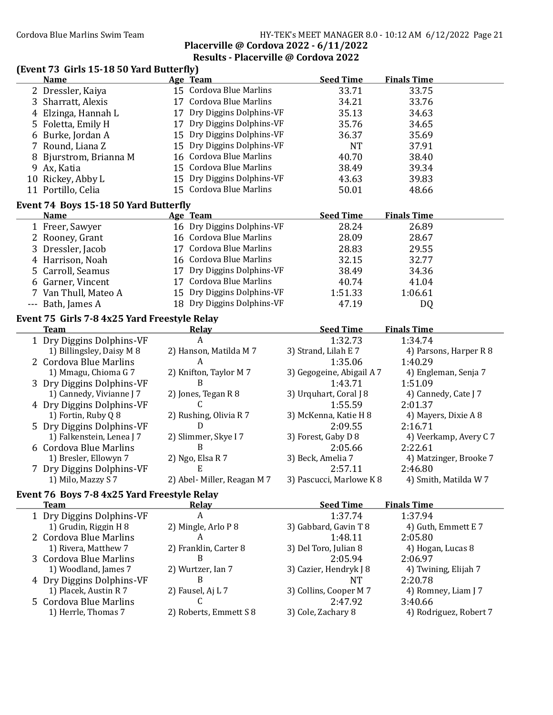### Cordova Blue Marlins Swim Team HY-TEK's MEET MANAGER 8.0 - 10:12 AM 6/12/2022 Page 21 Placerville @ Cordova 2022 - 6/11/2022 Results - Placerville @ Cordova 2022

## (Event 73 Girls 15-18 50 Yard Butterfly)

|   | <b>Name</b>                                  | Age Team                   | <b>Seed Time</b>          | <b>Finals Time</b>     |
|---|----------------------------------------------|----------------------------|---------------------------|------------------------|
|   | 2 Dressler, Kaiya                            | 15 Cordova Blue Marlins    | 33.71                     | 33.75                  |
| 3 | Sharratt, Alexis                             | 17 Cordova Blue Marlins    | 34.21                     | 33.76                  |
|   | 4 Elzinga, Hannah L                          | 17 Dry Diggins Dolphins-VF | 35.13                     | 34.63                  |
|   | 5 Foletta, Emily H                           | 17 Dry Diggins Dolphins-VF | 35.76                     | 34.65                  |
|   | 6 Burke, Jordan A                            | 15 Dry Diggins Dolphins-VF | 36.37                     | 35.69                  |
|   | 7 Round, Liana Z                             | 15 Dry Diggins Dolphins-VF | <b>NT</b>                 | 37.91                  |
| 8 | Bjurstrom, Brianna M                         | 16 Cordova Blue Marlins    | 40.70                     | 38.40                  |
| 9 | Ax, Katia                                    | 15 Cordova Blue Marlins    | 38.49                     | 39.34                  |
|   | 10 Rickey, Abby L                            | 15 Dry Diggins Dolphins-VF | 43.63                     | 39.83                  |
|   | 11 Portillo, Celia                           | 15 Cordova Blue Marlins    | 50.01                     | 48.66                  |
|   | Event 74 Boys 15-18 50 Yard Butterfly        |                            |                           |                        |
|   | <b>Name</b>                                  | Age Team                   | <b>Seed Time</b>          | <b>Finals Time</b>     |
|   | 1 Freer, Sawyer                              | 16 Dry Diggins Dolphins-VF | 28.24                     | 26.89                  |
|   | 2 Rooney, Grant                              | 16 Cordova Blue Marlins    | 28.09                     | 28.67                  |
|   | 3 Dressler, Jacob                            | 17 Cordova Blue Marlins    | 28.83                     | 29.55                  |
|   | 4 Harrison, Noah                             | 16 Cordova Blue Marlins    | 32.15                     | 32.77                  |
|   | 5 Carroll, Seamus                            | 17 Dry Diggins Dolphins-VF | 38.49                     | 34.36                  |
|   | 6 Garner, Vincent                            | 17 Cordova Blue Marlins    | 40.74                     | 41.04                  |
|   | 7 Van Thull, Mateo A                         | 15 Dry Diggins Dolphins-VF | 1:51.33                   | 1:06.61                |
|   | --- Bath, James A                            | 18 Dry Diggins Dolphins-VF | 47.19                     | DQ                     |
|   | Event 75 Girls 7-8 4x25 Yard Freestyle Relay |                            |                           |                        |
|   | <b>Team</b>                                  | <b>Relay</b>               | <b>Seed Time</b>          | <b>Finals Time</b>     |
|   | 1 Dry Diggins Dolphins-VF                    | A                          | 1:32.73                   | 1:34.74                |
|   | 1) Billingsley, Daisy M 8                    | 2) Hanson, Matilda M 7     | 3) Strand, Lilah E 7      | 4) Parsons, Harper R 8 |
|   | 2 Cordova Blue Marlins                       | A                          | 1:35.06                   | 1:40.29                |
|   | 1) Mmagu, Chioma G 7                         | 2) Knifton, Taylor M 7     | 3) Gegogeine, Abigail A 7 | 4) Engleman, Senja 7   |
|   | 3 Dry Diggins Dolphins-VF                    | B                          | 1:43.71                   | 1:51.09                |
|   | 1) Cannedy, Vivianne J 7                     | 2) Jones, Tegan R 8        | 3) Urquhart, Coral J 8    | 4) Cannedy, Cate J 7   |
|   | 4 Dry Diggins Dolphins-VF                    | C                          | 1:55.59                   | 2:01.37                |
|   | 1) Fortin, Ruby Q 8                          | 2) Rushing, Olivia R 7     | 3) McKenna, Katie H 8     | 4) Mayers, Dixie A 8   |
|   | 5 Dry Diggins Dolphins-VF                    | D                          | 2:09.55                   | 2:16.71                |
|   | 1) Falkenstein, Lenea J 7                    | 2) Slimmer, Skye I 7       | 3) Forest, Gaby D 8       | 4) Veerkamp, Avery C 7 |
|   | 6 Cordova Blue Marlins                       | B                          | 2:05.66                   | 2:22.61                |
|   | 1) Bresler, Ellowyn 7                        | 2) Ngo, Elsa R 7           | 3) Beck, Amelia 7         | 4) Matzinger, Brooke 7 |
|   | 7 Dry Diggins Dolphins-VF                    | E.                         | 2:57.11                   | 2:46.80                |
|   | 1) Milo, Mazzy S 7                           | 2) Abel-Miller, Reagan M 7 | 3) Pascucci, Marlowe K 8  | 4) Smith, Matilda W 7  |
|   | Event 76 Boys 7-8 4x25 Yard Freestyle Relay  |                            |                           |                        |
|   | <b>Team</b>                                  | <b>Relay</b>               | <b>Seed Time</b>          | <b>Finals Time</b>     |
|   | 1 Dry Diggins Dolphins-VF                    | $\boldsymbol{A}$           | 1:37.74                   | 1:37.94                |
|   | 1) Grudin, Riggin H 8                        | 2) Mingle, Arlo P 8        | 3) Gabbard, Gavin T 8     | 4) Guth, Emmett E 7    |

| <b>T</b> Dry Diggins Doiphins-VF |                        | 1:3/74                 | 1:37.94                |
|----------------------------------|------------------------|------------------------|------------------------|
| 1) Grudin, Riggin H 8            | 2) Mingle, Arlo P 8    | 3) Gabbard, Gavin T 8  | 4) Guth, Emmett E 7    |
| 2 Cordova Blue Marlins           |                        | 1:48.11                | 2:05.80                |
| 1) Rivera, Matthew 7             | 2) Franklin, Carter 8  | 3) Del Toro, Julian 8  | 4) Hogan, Lucas 8      |
| 3 Cordova Blue Marlins           |                        | 2:05.94                | 2:06.97                |
| 1) Woodland, James 7             | 2) Wurtzer, Ian 7      | 3) Cazier, Hendryk J 8 | 4) Twining, Elijah 7   |
| 4 Dry Diggins Dolphins-VF        |                        | NT                     | 2:20.78                |
| 1) Placek, Austin R 7            | 2) Fausel, Aj L 7      | 3) Collins, Cooper M 7 | 4) Romney, Liam J 7    |
| 5 Cordova Blue Marlins           |                        | 2:47.92                | 3:40.66                |
| 1) Herrle, Thomas 7              | 2) Roberts, Emmett S 8 | 3) Cole, Zachary 8     | 4) Rodriguez, Robert 7 |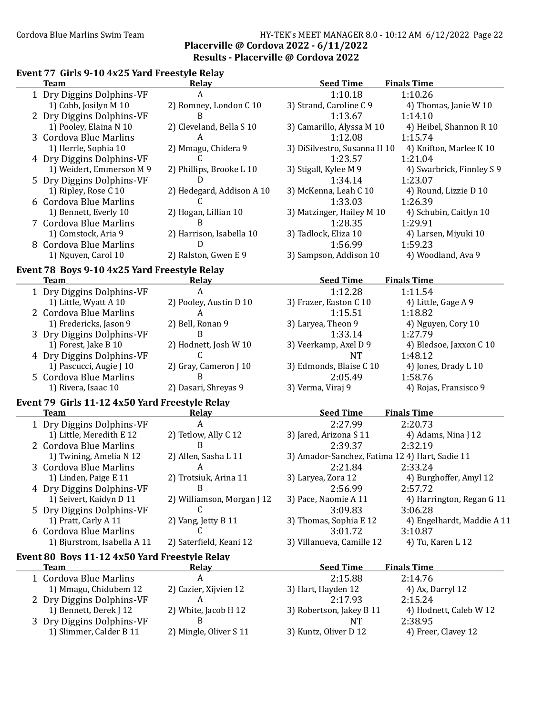### Cordova Blue Marlins Swim Team Funching Supply 1945 HY-TEK's MEET MANAGER 8.0 - 10:12 AM 6/12/2022 Page 22 Placerville @ Cordova 2022 - 6/11/2022 Results - Placerville @ Cordova 2022

## Event 77 Girls 9-10 4x25 Yard Freestyle Relay

1) Slimmer, Calder B 11

| <b>Team</b>                                                   | <b>Relay</b>               | <b>Seed Time</b>                               | <b>Finals Time</b>         |
|---------------------------------------------------------------|----------------------------|------------------------------------------------|----------------------------|
| 1 Dry Diggins Dolphins-VF                                     | A                          | 1:10.18                                        | 1:10.26                    |
| 1) Cobb, Josilyn M 10                                         | 2) Romney, London C 10     | 3) Strand, Caroline C 9                        | 4) Thomas, Janie W 10      |
| 2 Dry Diggins Dolphins-VF                                     | B                          | 1:13.67                                        | 1:14.10                    |
| 1) Pooley, Elaina N 10                                        | 2) Cleveland, Bella S 10   | 3) Camarillo, Alyssa M 10                      | 4) Heibel, Shannon R 10    |
| 3 Cordova Blue Marlins                                        | A                          | 1:12.08                                        | 1:15.74                    |
| 1) Herrle, Sophia 10                                          | 2) Mmagu, Chidera 9        | 3) DiSilvestro, Susanna H 10                   | 4) Knifton, Marlee K 10    |
| 4 Dry Diggins Dolphins-VF                                     | C                          | 1:23.57                                        | 1:21.04                    |
| 1) Weidert, Emmerson M 9                                      | 2) Phillips, Brooke L 10   | 3) Stigall, Kylee M 9                          | 4) Swarbrick, Finnley S 9  |
| 5 Dry Diggins Dolphins-VF                                     | D                          | 1:34.14                                        | 1:23.07                    |
| 1) Ripley, Rose C 10                                          | 2) Hedegard, Addison A 10  | 3) McKenna, Leah C 10                          | 4) Round, Lizzie D 10      |
| 6 Cordova Blue Marlins                                        | C                          | 1:33.03                                        | 1:26.39                    |
| 1) Bennett, Everly 10                                         | 2) Hogan, Lillian 10       | 3) Matzinger, Hailey M 10                      | 4) Schubin, Caitlyn 10     |
| 7 Cordova Blue Marlins                                        | B                          | 1:28.35                                        | 1:29.91                    |
| 1) Comstock, Aria 9                                           | 2) Harrison, Isabella 10   | 3) Tadlock, Eliza 10                           | 4) Larsen, Miyuki 10       |
| 8 Cordova Blue Marlins                                        | $\overline{D}$             | 1:56.99                                        | 1:59.23                    |
| 1) Nguyen, Carol 10                                           | 2) Ralston, Gwen E 9       | 3) Sampson, Addison 10                         | 4) Woodland, Ava 9         |
| Event 78 Boys 9-10 4x25 Yard Freestyle Relay                  |                            |                                                |                            |
| <b>Team</b>                                                   | <b>Relay</b>               | <b>Seed Time</b>                               | <b>Finals Time</b>         |
| 1 Dry Diggins Dolphins-VF                                     | A                          | 1:12.28                                        | 1:11.54                    |
| 1) Little, Wyatt A 10                                         | 2) Pooley, Austin D 10     | 3) Frazer, Easton C 10                         | 4) Little, Gage A 9        |
| 2 Cordova Blue Marlins                                        | A                          | 1:15.51                                        | 1:18.82                    |
| 1) Fredericks, Jason 9                                        | 2) Bell, Ronan 9           | 3) Laryea, Theon 9                             | 4) Nguyen, Cory 10         |
| 3 Dry Diggins Dolphins-VF                                     | B                          | 1:33.14                                        | 1:27.79                    |
| 1) Forest, Jake B 10                                          | 2) Hodnett, Josh W 10      | 3) Veerkamp, Axel D 9                          | 4) Bledsoe, Jaxxon C 10    |
| 4 Dry Diggins Dolphins-VF                                     | C                          | <b>NT</b>                                      | 1:48.12                    |
| 1) Pascucci, Augie J 10                                       | 2) Gray, Cameron J 10      | 3) Edmonds, Blaise C 10                        | 4) Jones, Drady L 10       |
| 5 Cordova Blue Marlins                                        | B                          | 2:05.49                                        | 1:58.76                    |
| 1) Rivera, Isaac 10                                           | 2) Dasari, Shreyas 9       | 3) Verma, Viraj 9                              | 4) Rojas, Fransisco 9      |
|                                                               |                            |                                                |                            |
| Event 79 Girls 11-12 4x50 Yard Freestyle Relay<br><b>Team</b> | <b>Relay</b>               | <b>Seed Time</b>                               | <b>Finals Time</b>         |
| 1 Dry Diggins Dolphins-VF                                     | $\boldsymbol{A}$           | 2:27.99                                        | 2:20.73                    |
| 1) Little, Meredith E 12                                      | 2) Tetlow, Ally C 12       | 3) Jared, Arizona S 11                         | 4) Adams, Nina J 12        |
| 2 Cordova Blue Marlins                                        | B                          | 2:39.37                                        | 2:32.19                    |
| 1) Twining, Amelia N 12                                       | 2) Allen, Sasha L 11       | 3) Amador-Sanchez, Fatima 12 4) Hart, Sadie 11 |                            |
| 3 Cordova Blue Marlins                                        | A                          | 2:21.84                                        | 2:33.24                    |
| 1) Linden, Paige E 11                                         | 2) Trotsiuk, Arina 11      | 3) Laryea, Zora 12                             | 4) Burghoffer, Amyl 12     |
| 4 Dry Diggins Dolphins-VF                                     | B                          | 2:56.99                                        | 2:57.72                    |
| 1) Seivert, Kaidyn D 11                                       | 2) Williamson, Morgan J 12 | 3) Pace, Naomie A 11                           | 4) Harrington, Regan G 11  |
| 5 Dry Diggins Dolphins-VF                                     | C                          | 3:09.83                                        | 3:06.28                    |
| 1) Pratt, Carly A 11                                          | 2) Vang, Jetty B 11        | 3) Thomas, Sophia E 12                         | 4) Engelhardt, Maddie A 11 |
| 6 Cordova Blue Marlins                                        | C                          | 3:01.72                                        | 3:10.87                    |
| 1) Bjurstrom, Isabella A 11                                   | 2) Saterfield, Keani 12    | 3) Villanueva, Camille 12                      | 4) Tu, Karen L 12          |
|                                                               |                            |                                                |                            |
| Event 80 Boys 11-12 4x50 Yard Freestyle Relay                 |                            |                                                |                            |
| <b>Team</b>                                                   | <b>Relay</b>               | <b>Seed Time</b>                               | <b>Finals Time</b>         |
| 1 Cordova Blue Marlins                                        | $\boldsymbol{A}$           | 2:15.88                                        | 2:14.76                    |
| 1) Mmagu, Chidubem 12                                         | 2) Cazier, Xijvien 12      | 3) Hart, Hayden 12                             | 4) Ax, Darryl 12           |
| 2 Dry Diggins Dolphins-VF                                     | A                          | 2:17.93                                        | 2:15.24                    |
| 1) Bennett, Derek J 12                                        | 2) White, Jacob H 12       | 3) Robertson, Jakey B 11                       | 4) Hodnett, Caleb W 12     |

3 Dry Diggins Dolphins-VF B<br>1) Slimmer, Calder B 11 2) Mingle, Oliver S 11 3) Kuntz, Oliver D 12 4) Freer, Clavey 12